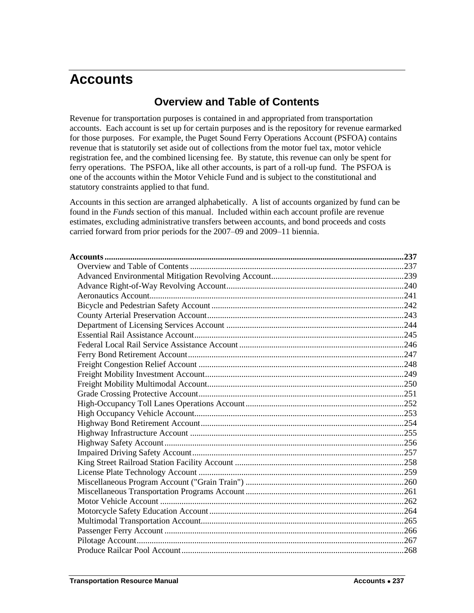# <span id="page-0-1"></span><span id="page-0-0"></span>**Accounts**

## **Overview and Table of Contents**

Revenue for transportation purposes is contained in and appropriated from transportation accounts. Each account is set up for certain purposes and is the repository for revenue earmarked for those purposes. For example, the Puget Sound Ferry Operations Account (PSFOA) contains revenue that is statutorily set aside out of collections from the motor fuel tax, motor vehicle registration fee, and the combined licensing fee. By statute, this revenue can only be spent for ferry operations. The PSFOA, like all other accounts, is part of a roll-up fund. The PSFOA is one of the accounts within the Motor Vehicle Fund and is subject to the constitutional and statutory constraints applied to that fund.

Accounts in this section are arranged alphabetically. A list of accounts organized by fund can be found in the *Funds* section of this manual. Included within each account profile are revenue estimates, excluding administrative transfers between accounts, and bond proceeds and costs carried forward from prior periods for the 2007–09 and 2009–11 biennia.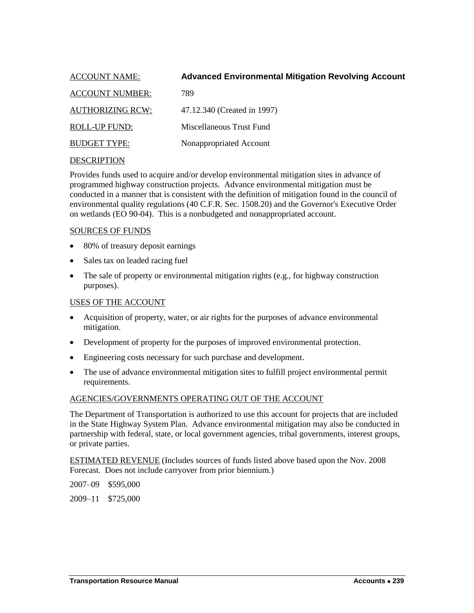<span id="page-2-0"></span>

| <b>ACCOUNT NAME:</b>    | <b>Advanced Environmental Mitigation Revolving Account</b> |
|-------------------------|------------------------------------------------------------|
| <b>ACCOUNT NUMBER:</b>  | 789                                                        |
| <b>AUTHORIZING RCW:</b> | 47.12.340 (Created in 1997)                                |
| <b>ROLL-UP FUND:</b>    | Miscellaneous Trust Fund                                   |
| <b>BUDGET TYPE:</b>     | Nonappropriated Account                                    |
|                         |                                                            |

Provides funds used to acquire and/or develop environmental mitigation sites in advance of programmed highway construction projects. Advance environmental mitigation must be conducted in a manner that is consistent with the definition of mitigation found in the council of environmental quality regulations (40 C.F.R. Sec. 1508.20) and the Governor's Executive Order on wetlands (EO 90-04). This is a nonbudgeted and nonappropriated account.

#### SOURCES OF FUNDS

- 80% of treasury deposit earnings
- Sales tax on leaded racing fuel
- $\bullet$  The sale of property or environmental mitigation rights (e.g., for highway construction purposes).

#### USES OF THE ACCOUNT

- Acquisition of property, water, or air rights for the purposes of advance environmental mitigation.
- Development of property for the purposes of improved environmental protection.
- Engineering costs necessary for such purchase and development.
- The use of advance environmental mitigation sites to fulfill project environmental permit requirements.

#### AGENCIES/GOVERNMENTS OPERATING OUT OF THE ACCOUNT

The Department of Transportation is authorized to use this account for projects that are included in the State Highway System Plan. Advance environmental mitigation may also be conducted in partnership with federal, state, or local government agencies, tribal governments, interest groups, or private parties.

ESTIMATED REVENUE (Includes sources of funds listed above based upon the Nov. 2008 Forecast. Does not include carryover from prior biennium.)

2007–09 \$595,000

2009–11 \$725,000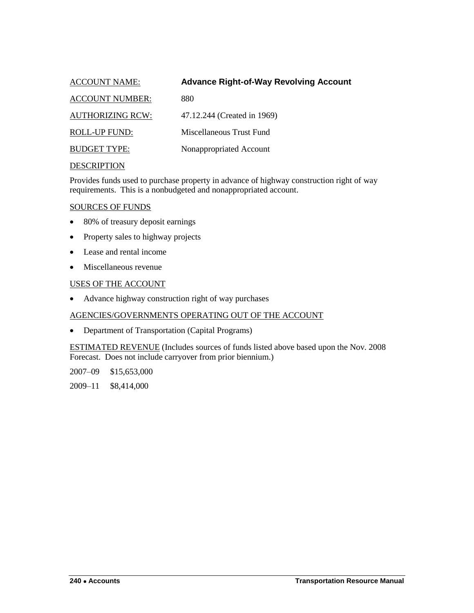<span id="page-3-0"></span>

| <b>ACCOUNT NAME:</b>    | <b>Advance Right-of-Way Revolving Account</b> |
|-------------------------|-----------------------------------------------|
| <b>ACCOUNT NUMBER:</b>  | 880                                           |
| <b>AUTHORIZING RCW:</b> | 47.12.244 (Created in 1969)                   |
| ROLL-UP FUND:           | Miscellaneous Trust Fund                      |
| <b>BUDGET TYPE:</b>     | Nonappropriated Account                       |
|                         |                                               |

Provides funds used to purchase property in advance of highway construction right of way requirements. This is a nonbudgeted and nonappropriated account.

## SOURCES OF FUNDS

- 80% of treasury deposit earnings
- Property sales to highway projects
- Lease and rental income
- Miscellaneous revenue

## USES OF THE ACCOUNT

Advance highway construction right of way purchases

## AGENCIES/GOVERNMENTS OPERATING OUT OF THE ACCOUNT

• Department of Transportation (Capital Programs)

ESTIMATED REVENUE (Includes sources of funds listed above based upon the Nov. 2008 Forecast. Does not include carryover from prior biennium.)

2007–09 \$15,653,000

2009–11 \$8,414,000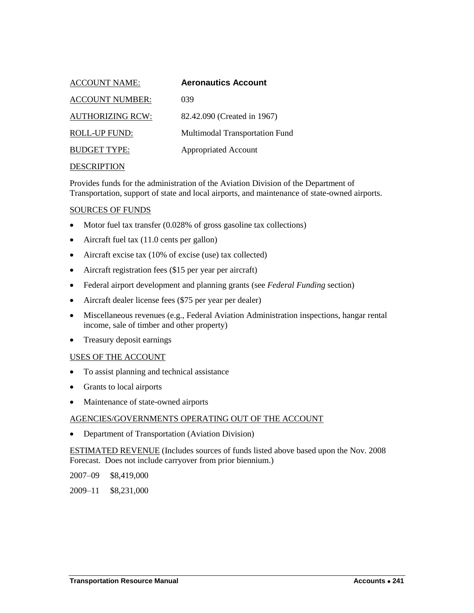<span id="page-4-0"></span>

| <b>ACCOUNT NAME:</b>    | <b>Aeronautics Account</b>     |
|-------------------------|--------------------------------|
| <b>ACCOUNT NUMBER:</b>  | 039                            |
| <b>AUTHORIZING RCW:</b> | 82.42.090 (Created in 1967)    |
| ROLL-UP FUND:           | Multimodal Transportation Fund |
| <b>BUDGET TYPE:</b>     | <b>Appropriated Account</b>    |
|                         |                                |

Provides funds for the administration of the Aviation Division of the Department of Transportation, support of state and local airports, and maintenance of state-owned airports.

#### SOURCES OF FUNDS

- Motor fuel tax transfer (0.028% of gross gasoline tax collections)
- Aircraft fuel tax (11.0 cents per gallon)
- Aircraft excise tax (10% of excise (use) tax collected)
- Aircraft registration fees (\$15 per year per aircraft)
- Federal airport development and planning grants (see *Federal Funding* section)
- Aircraft dealer license fees (\$75 per year per dealer)
- Miscellaneous revenues (e.g., Federal Aviation Administration inspections, hangar rental income, sale of timber and other property)
- Treasury deposit earnings

#### USES OF THE ACCOUNT

- To assist planning and technical assistance
- Grants to local airports
- Maintenance of state-owned airports

#### AGENCIES/GOVERNMENTS OPERATING OUT OF THE ACCOUNT

• Department of Transportation (Aviation Division)

ESTIMATED REVENUE (Includes sources of funds listed above based upon the Nov. 2008 Forecast. Does not include carryover from prior biennium.)

2007–09 \$8,419,000

2009–11 \$8,231,000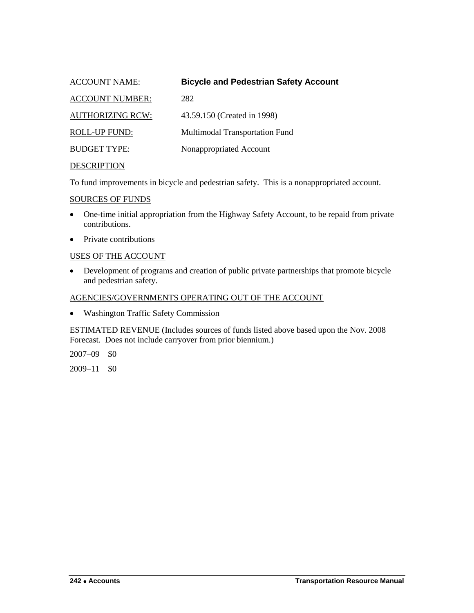<span id="page-5-0"></span>

| <b>ACCOUNT NAME:</b>    | <b>Bicycle and Pedestrian Safety Account</b> |
|-------------------------|----------------------------------------------|
| <b>ACCOUNT NUMBER:</b>  | 282                                          |
| <b>AUTHORIZING RCW:</b> | 43.59.150 (Created in 1998)                  |
| <b>ROLL-UP FUND:</b>    | Multimodal Transportation Fund               |
| <b>BUDGET TYPE:</b>     | Nonappropriated Account                      |
| <b>DESCRIPTION</b>      |                                              |

To fund improvements in bicycle and pedestrian safety. This is a nonappropriated account.

#### SOURCES OF FUNDS

- One-time initial appropriation from the Highway Safety Account, to be repaid from private contributions.
- Private contributions

#### USES OF THE ACCOUNT

 Development of programs and creation of public private partnerships that promote bicycle and pedestrian safety.

## AGENCIES/GOVERNMENTS OPERATING OUT OF THE ACCOUNT

Washington Traffic Safety Commission

ESTIMATED REVENUE (Includes sources of funds listed above based upon the Nov. 2008 Forecast. Does not include carryover from prior biennium.)

2007–09 \$0

2009–11 \$0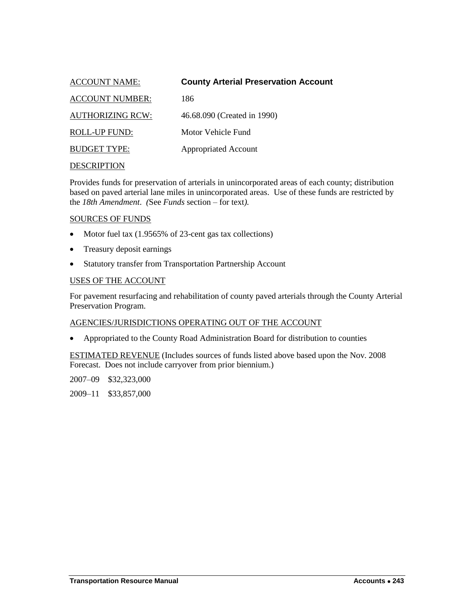<span id="page-6-0"></span>

| <b>ACCOUNT NAME:</b>    | <b>County Arterial Preservation Account</b> |
|-------------------------|---------------------------------------------|
| <b>ACCOUNT NUMBER:</b>  | 186                                         |
| <b>AUTHORIZING RCW:</b> | 46.68.090 (Created in 1990)                 |
| ROLL-UP FUND:           | Motor Vehicle Fund                          |
| <b>BUDGET TYPE:</b>     | <b>Appropriated Account</b>                 |
|                         |                                             |

Provides funds for preservation of arterials in unincorporated areas of each county; distribution based on paved arterial lane miles in unincorporated areas. Use of these funds are restricted by the *18th Amendment*. *(*See *Funds* section – for text*).*

#### SOURCES OF FUNDS

- Motor fuel tax (1.9565% of 23-cent gas tax collections)
- Treasury deposit earnings
- Statutory transfer from Transportation Partnership Account

#### USES OF THE ACCOUNT

For pavement resurfacing and rehabilitation of county paved arterials through the County Arterial Preservation Program.

#### AGENCIES/JURISDICTIONS OPERATING OUT OF THE ACCOUNT

Appropriated to the County Road Administration Board for distribution to counties

ESTIMATED REVENUE (Includes sources of funds listed above based upon the Nov. 2008 Forecast. Does not include carryover from prior biennium.)

2007–09 \$32,323,000

2009–11 \$33,857,000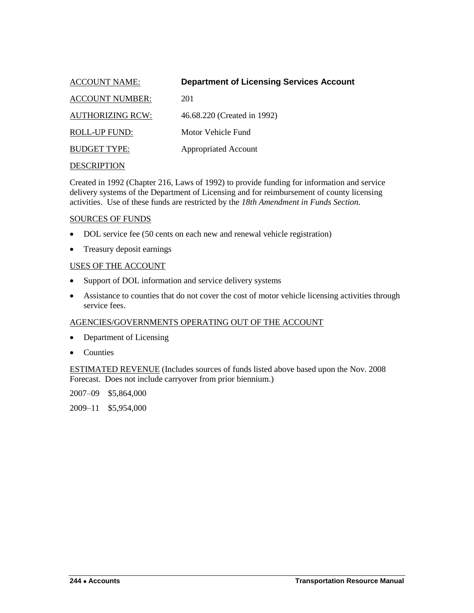<span id="page-7-0"></span>

| <b>ACCOUNT NAME:</b>    | <b>Department of Licensing Services Account</b> |
|-------------------------|-------------------------------------------------|
| <b>ACCOUNT NUMBER:</b>  | 201                                             |
| <b>AUTHORIZING RCW:</b> | 46.68.220 (Created in 1992)                     |
| ROLL-UP FUND:           | Motor Vehicle Fund                              |
| <b>BUDGET TYPE:</b>     | <b>Appropriated Account</b>                     |
|                         |                                                 |

Created in 1992 (Chapter 216, Laws of 1992) to provide funding for information and service delivery systems of the Department of Licensing and for reimbursement of county licensing activities. Use of these funds are restricted by the *18th Amendment in Funds Section.*

#### SOURCES OF FUNDS

- DOL service fee (50 cents on each new and renewal vehicle registration)
- Treasury deposit earnings

#### USES OF THE ACCOUNT

- Support of DOL information and service delivery systems
- Assistance to counties that do not cover the cost of motor vehicle licensing activities through service fees.

## AGENCIES/GOVERNMENTS OPERATING OUT OF THE ACCOUNT

- Department of Licensing
- Counties

ESTIMATED REVENUE (Includes sources of funds listed above based upon the Nov. 2008 Forecast. Does not include carryover from prior biennium.)

2007–09 \$5,864,000

2009–11 \$5,954,000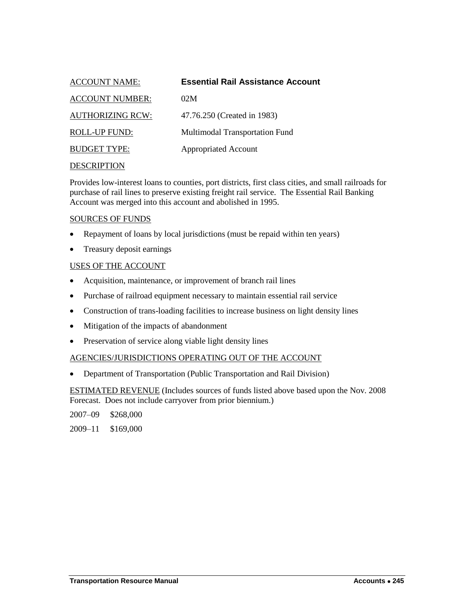<span id="page-8-0"></span>

| <b>ACCOUNT NAME:</b>    | <b>Essential Rail Assistance Account</b> |
|-------------------------|------------------------------------------|
| <b>ACCOUNT NUMBER:</b>  | 02M                                      |
| <b>AUTHORIZING RCW:</b> | 47.76.250 (Created in 1983)              |
| ROLL-UP FUND:           | Multimodal Transportation Fund           |
| <b>BUDGET TYPE:</b>     | <b>Appropriated Account</b>              |
|                         |                                          |

Provides low-interest loans to counties, port districts, first class cities, and small railroads for purchase of rail lines to preserve existing freight rail service. The Essential Rail Banking Account was merged into this account and abolished in 1995.

## SOURCES OF FUNDS

- Repayment of loans by local jurisdictions (must be repaid within ten years)
- Treasury deposit earnings

## USES OF THE ACCOUNT

- Acquisition, maintenance, or improvement of branch rail lines
- Purchase of railroad equipment necessary to maintain essential rail service
- Construction of trans-loading facilities to increase business on light density lines
- Mitigation of the impacts of abandonment
- Preservation of service along viable light density lines

## AGENCIES/JURISDICTIONS OPERATING OUT OF THE ACCOUNT

Department of Transportation (Public Transportation and Rail Division)

ESTIMATED REVENUE (Includes sources of funds listed above based upon the Nov. 2008 Forecast. Does not include carryover from prior biennium.)

2007–09 \$268,000

2009–11 \$169,000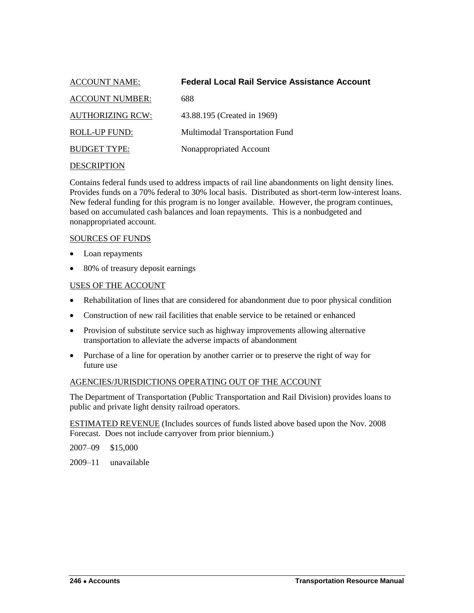<span id="page-9-0"></span>

| <b>ACCOUNT NAME:</b>    | <b>Federal Local Rail Service Assistance Account</b> |
|-------------------------|------------------------------------------------------|
| <b>ACCOUNT NUMBER:</b>  | 688                                                  |
| <b>AUTHORIZING RCW:</b> | 43.88.195 (Created in 1969)                          |
| <b>ROLL-UP FUND:</b>    | Multimodal Transportation Fund                       |
| <b>BUDGET TYPE:</b>     | Nonappropriated Account                              |
| <b>DESCRIPTION</b>      |                                                      |

## Contains federal funds used to address impacts of rail line abandonments on light density lines. Provides funds on a 70% federal to 30% local basis. Distributed as short-term low-interest loans. New federal funding for this program is no longer available. However, the program continues, based on accumulated cash balances and loan repayments. This is a nonbudgeted and nonappropriated account.

#### SOURCES OF FUNDS

- Loan repayments
- 80% of treasury deposit earnings

## USES OF THE ACCOUNT

- Rehabilitation of lines that are considered for abandonment due to poor physical condition
- Construction of new rail facilities that enable service to be retained or enhanced
- Provision of substitute service such as highway improvements allowing alternative transportation to alleviate the adverse impacts of abandonment
- Purchase of a line for operation by another carrier or to preserve the right of way for future use

## AGENCIES/JURISDICTIONS OPERATING OUT OF THE ACCOUNT

The Department of Transportation (Public Transportation and Rail Division) provides loans to public and private light density railroad operators.

ESTIMATED REVENUE (Includes sources of funds listed above based upon the Nov. 2008 Forecast. Does not include carryover from prior biennium.)

2007–09 \$15,000

2009–11 unavailable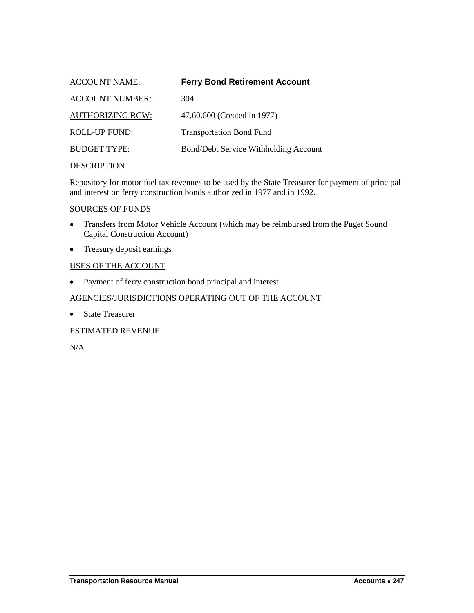<span id="page-10-0"></span>

| <b>ACCOUNT NAME:</b>    | <b>Ferry Bond Retirement Account</b>  |
|-------------------------|---------------------------------------|
| <b>ACCOUNT NUMBER:</b>  | 304                                   |
| <b>AUTHORIZING RCW:</b> | 47.60.600 (Created in 1977)           |
| <b>ROLL-UP FUND:</b>    | <b>Transportation Bond Fund</b>       |
| <b>BUDGET TYPE:</b>     | Bond/Debt Service Withholding Account |
| <b>DESCRIPTION</b>      |                                       |

Repository for motor fuel tax revenues to be used by the State Treasurer for payment of principal and interest on ferry construction bonds authorized in 1977 and in 1992.

#### SOURCES OF FUNDS

- Transfers from Motor Vehicle Account (which may be reimbursed from the Puget Sound Capital Construction Account)
- Treasury deposit earnings

## USES OF THE ACCOUNT

• Payment of ferry construction bond principal and interest

## AGENCIES/JURISDICTIONS OPERATING OUT OF THE ACCOUNT

• State Treasurer

## ESTIMATED REVENUE

N/A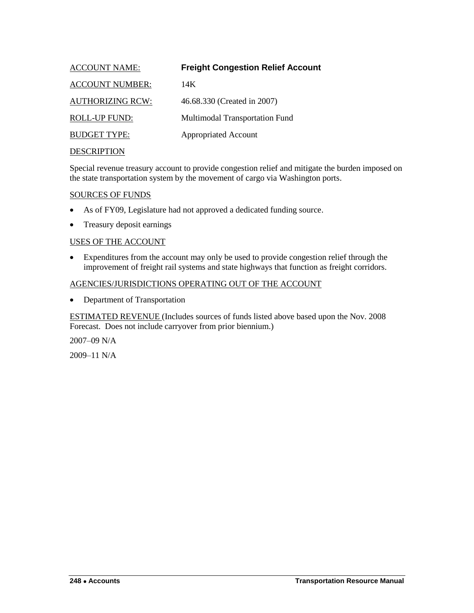<span id="page-11-0"></span>

| <b>ACCOUNT NAME:</b>    | <b>Freight Congestion Relief Account</b> |
|-------------------------|------------------------------------------|
| <b>ACCOUNT NUMBER:</b>  | 14K                                      |
| <b>AUTHORIZING RCW:</b> | 46.68.330 (Created in 2007)              |
| <b>ROLL-UP FUND:</b>    | Multimodal Transportation Fund           |
| <b>BUDGET TYPE:</b>     | <b>Appropriated Account</b>              |
| <b>DESCRIPTION</b>      |                                          |

Special revenue treasury account to provide congestion relief and mitigate the burden imposed on the state transportation system by the movement of cargo via Washington ports.

#### SOURCES OF FUNDS

- As of FY09, Legislature had not approved a dedicated funding source.
- Treasury deposit earnings

#### USES OF THE ACCOUNT

 Expenditures from the account may only be used to provide congestion relief through the improvement of freight rail systems and state highways that function as freight corridors.

#### AGENCIES/JURISDICTIONS OPERATING OUT OF THE ACCOUNT

• Department of Transportation

ESTIMATED REVENUE (Includes sources of funds listed above based upon the Nov. 2008 Forecast. Does not include carryover from prior biennium.)

2007–09 N/A

2009–11 N/A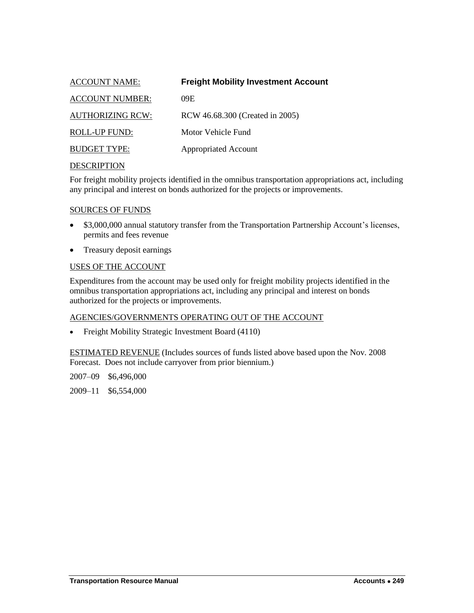<span id="page-12-0"></span>

| <b>ACCOUNT NAME:</b>    | <b>Freight Mobility Investment Account</b> |
|-------------------------|--------------------------------------------|
| <b>ACCOUNT NUMBER:</b>  | 09E                                        |
| <b>AUTHORIZING RCW:</b> | RCW 46.68.300 (Created in 2005)            |
| ROLL-UP FUND:           | Motor Vehicle Fund                         |
| <b>BUDGET TYPE:</b>     | <b>Appropriated Account</b>                |
|                         |                                            |

For freight mobility projects identified in the omnibus transportation appropriations act, including any principal and interest on bonds authorized for the projects or improvements.

#### SOURCES OF FUNDS

- \$3,000,000 annual statutory transfer from the Transportation Partnership Account's licenses, permits and fees revenue
- Treasury deposit earnings

## USES OF THE ACCOUNT

Expenditures from the account may be used only for freight mobility projects identified in the omnibus transportation appropriations act, including any principal and interest on bonds authorized for the projects or improvements.

## AGENCIES/GOVERNMENTS OPERATING OUT OF THE ACCOUNT

• Freight Mobility Strategic Investment Board (4110)

ESTIMATED REVENUE (Includes sources of funds listed above based upon the Nov. 2008 Forecast. Does not include carryover from prior biennium.)

2007–09 \$6,496,000

2009–11 \$6,554,000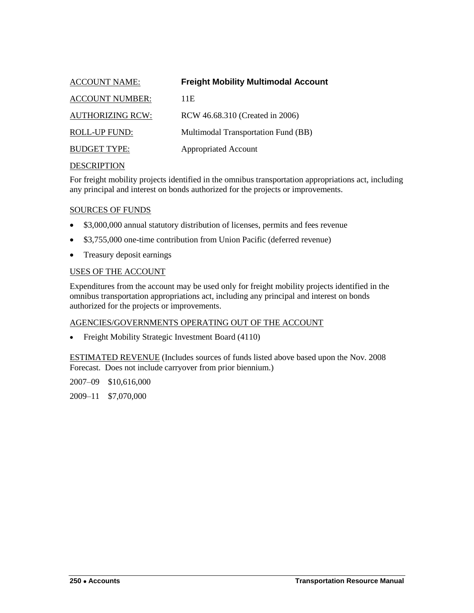<span id="page-13-0"></span>

| <b>ACCOUNT NAME:</b>    | <b>Freight Mobility Multimodal Account</b> |
|-------------------------|--------------------------------------------|
| <b>ACCOUNT NUMBER:</b>  | 11E                                        |
| <b>AUTHORIZING RCW:</b> | RCW 46.68.310 (Created in 2006)            |
| ROLL-UP FUND:           | Multimodal Transportation Fund (BB)        |
| <b>BUDGET TYPE:</b>     | <b>Appropriated Account</b>                |
|                         |                                            |

For freight mobility projects identified in the omnibus transportation appropriations act, including any principal and interest on bonds authorized for the projects or improvements.

#### SOURCES OF FUNDS

- \$3,000,000 annual statutory distribution of licenses, permits and fees revenue
- \$3,755,000 one-time contribution from Union Pacific (deferred revenue)
- Treasury deposit earnings

## USES OF THE ACCOUNT

Expenditures from the account may be used only for freight mobility projects identified in the omnibus transportation appropriations act, including any principal and interest on bonds authorized for the projects or improvements.

#### AGENCIES/GOVERNMENTS OPERATING OUT OF THE ACCOUNT

Freight Mobility Strategic Investment Board (4110)

ESTIMATED REVENUE (Includes sources of funds listed above based upon the Nov. 2008 Forecast. Does not include carryover from prior biennium.)

2007–09 \$10,616,000

2009–11 \$7,070,000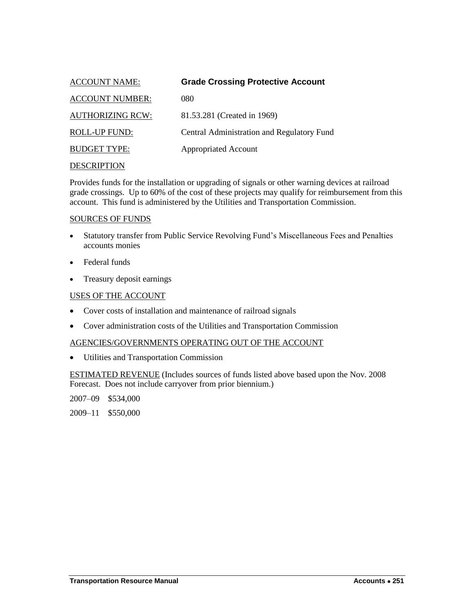<span id="page-14-0"></span>

| <b>ACCOUNT NAME:</b>    | <b>Grade Crossing Protective Account</b>   |
|-------------------------|--------------------------------------------|
| <b>ACCOUNT NUMBER:</b>  | 080                                        |
| <b>AUTHORIZING RCW:</b> | 81.53.281 (Created in 1969)                |
| ROLL-UP FUND:           | Central Administration and Regulatory Fund |
| <b>BUDGET TYPE:</b>     | <b>Appropriated Account</b>                |
|                         |                                            |

Provides funds for the installation or upgrading of signals or other warning devices at railroad grade crossings. Up to 60% of the cost of these projects may qualify for reimbursement from this account. This fund is administered by the Utilities and Transportation Commission.

#### SOURCES OF FUNDS

- Statutory transfer from Public Service Revolving Fund's Miscellaneous Fees and Penalties accounts monies
- Federal funds
- Treasury deposit earnings

## USES OF THE ACCOUNT

- Cover costs of installation and maintenance of railroad signals
- Cover administration costs of the Utilities and Transportation Commission

## AGENCIES/GOVERNMENTS OPERATING OUT OF THE ACCOUNT

Utilities and Transportation Commission

ESTIMATED REVENUE (Includes sources of funds listed above based upon the Nov. 2008 Forecast. Does not include carryover from prior biennium.)

2007–09 \$534,000

2009–11 \$550,000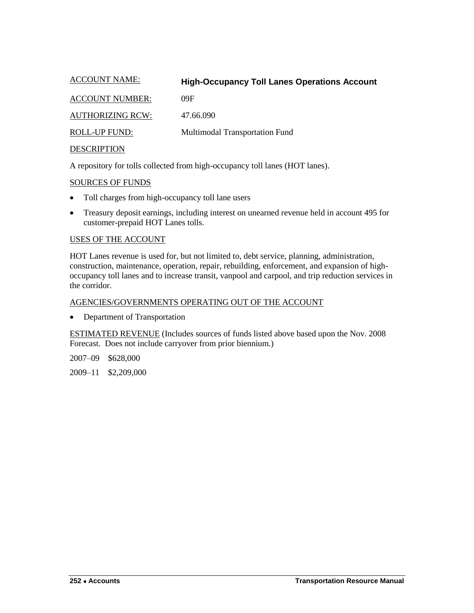<span id="page-15-0"></span>

| <b>ACCOUNT NAME:</b>    | <b>High-Occupancy Toll Lanes Operations Account</b> |
|-------------------------|-----------------------------------------------------|
| <b>ACCOUNT NUMBER:</b>  | 09F                                                 |
| <b>AUTHORIZING RCW:</b> | 47.66.090                                           |
| <b>ROLL-UP FUND:</b>    | Multimodal Transportation Fund                      |
| <b>DESCRIPTION</b>      |                                                     |

A repository for tolls collected from high-occupancy toll lanes (HOT lanes).

SOURCES OF FUNDS

- Toll charges from high-occupancy toll lane users
- Treasury deposit earnings, including interest on unearned revenue held in account 495 for customer-prepaid HOT Lanes tolls.

## USES OF THE ACCOUNT

HOT Lanes revenue is used for, but not limited to, debt service, planning, administration, construction, maintenance, operation, repair, rebuilding, enforcement, and expansion of highoccupancy toll lanes and to increase transit, vanpool and carpool, and trip reduction services in the corridor.

## AGENCIES/GOVERNMENTS OPERATING OUT OF THE ACCOUNT

• Department of Transportation

ESTIMATED REVENUE (Includes sources of funds listed above based upon the Nov. 2008 Forecast. Does not include carryover from prior biennium.)

2007–09 \$628,000

2009–11 \$2,209,000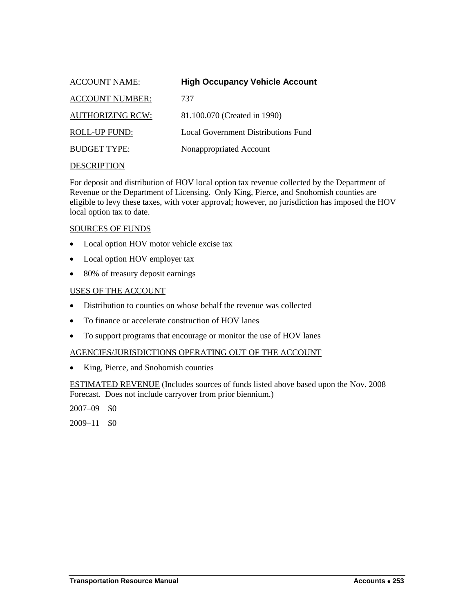<span id="page-16-0"></span>

| <b>ACCOUNT NAME:</b>    | <b>High Occupancy Vehicle Account</b> |
|-------------------------|---------------------------------------|
| <b>ACCOUNT NUMBER:</b>  | 737                                   |
| <b>AUTHORIZING RCW:</b> | 81.100.070 (Created in 1990)          |
| ROLL-UP FUND:           | Local Government Distributions Fund   |
| <b>BUDGET TYPE:</b>     | Nonappropriated Account               |
|                         |                                       |

For deposit and distribution of HOV local option tax revenue collected by the Department of Revenue or the Department of Licensing. Only King, Pierce, and Snohomish counties are eligible to levy these taxes, with voter approval; however, no jurisdiction has imposed the HOV local option tax to date.

#### SOURCES OF FUNDS

- Local option HOV motor vehicle excise tax
- Local option HOV employer tax
- 80% of treasury deposit earnings

#### USES OF THE ACCOUNT

- Distribution to counties on whose behalf the revenue was collected
- To finance or accelerate construction of HOV lanes
- To support programs that encourage or monitor the use of HOV lanes

#### AGENCIES/JURISDICTIONS OPERATING OUT OF THE ACCOUNT

• King, Pierce, and Snohomish counties

ESTIMATED REVENUE (Includes sources of funds listed above based upon the Nov. 2008 Forecast. Does not include carryover from prior biennium.)

2007–09 \$0

 $2009 - 11$  \$0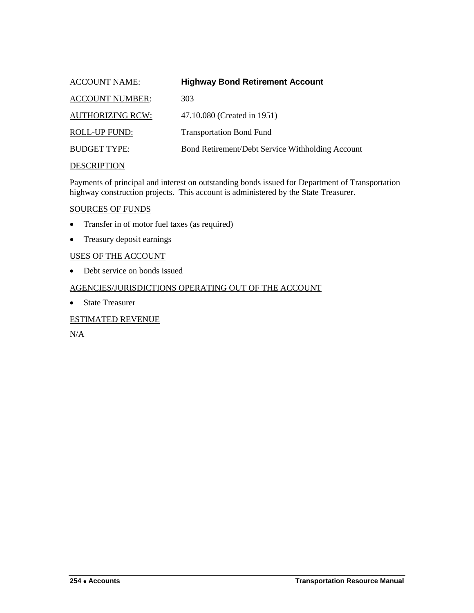<span id="page-17-0"></span>

| <b>ACCOUNT NAME:</b>    | <b>Highway Bond Retirement Account</b>           |
|-------------------------|--------------------------------------------------|
| <b>ACCOUNT NUMBER:</b>  | 303                                              |
| <b>AUTHORIZING RCW:</b> | 47.10.080 (Created in 1951)                      |
| <b>ROLL-UP FUND:</b>    | <b>Transportation Bond Fund</b>                  |
| <b>BUDGET TYPE:</b>     | Bond Retirement/Debt Service Withholding Account |
| <b>DESCRIPTION</b>      |                                                  |

Payments of principal and interest on outstanding bonds issued for Department of Transportation highway construction projects. This account is administered by the State Treasurer.

#### SOURCES OF FUNDS

- Transfer in of motor fuel taxes (as required)
- Treasury deposit earnings

## USES OF THE ACCOUNT

• Debt service on bonds issued

#### AGENCIES/JURISDICTIONS OPERATING OUT OF THE ACCOUNT

• State Treasurer

## ESTIMATED REVENUE

N/A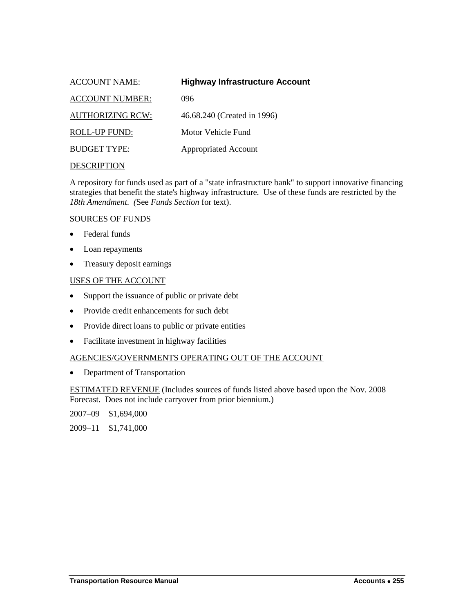<span id="page-18-0"></span>

| <b>ACCOUNT NAME:</b>    | <b>Highway Infrastructure Account</b> |
|-------------------------|---------------------------------------|
| <b>ACCOUNT NUMBER:</b>  | 096                                   |
| <b>AUTHORIZING RCW:</b> | 46.68.240 (Created in 1996)           |
| ROLL-UP FUND:           | Motor Vehicle Fund                    |
| <b>BUDGET TYPE:</b>     | <b>Appropriated Account</b>           |
|                         |                                       |

A repository for funds used as part of a "state infrastructure bank" to support innovative financing strategies that benefit the state's highway infrastructure. Use of these funds are restricted by the *18th Amendment. (*See *Funds Section* for text).

#### SOURCES OF FUNDS

- Federal funds
- Loan repayments
- Treasury deposit earnings

#### USES OF THE ACCOUNT

- Support the issuance of public or private debt
- Provide credit enhancements for such debt
- Provide direct loans to public or private entities
- Facilitate investment in highway facilities

## AGENCIES/GOVERNMENTS OPERATING OUT OF THE ACCOUNT

• Department of Transportation

ESTIMATED REVENUE (Includes sources of funds listed above based upon the Nov. 2008 Forecast. Does not include carryover from prior biennium.)

2007–09 \$1,694,000

2009–11 \$1,741,000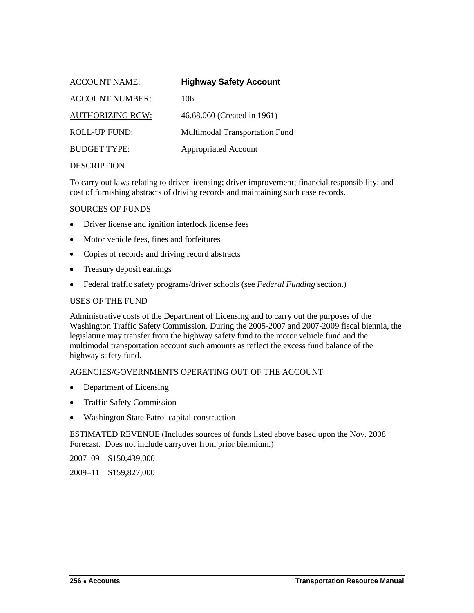<span id="page-19-0"></span>

| <b>ACCOUNT NAME:</b>    | <b>Highway Safety Account</b>  |
|-------------------------|--------------------------------|
| <b>ACCOUNT NUMBER:</b>  | 106                            |
| <b>AUTHORIZING RCW:</b> | 46.68.060 (Created in 1961)    |
| <b>ROLL-UP FUND:</b>    | Multimodal Transportation Fund |
| <b>BUDGET TYPE:</b>     | <b>Appropriated Account</b>    |
|                         |                                |

To carry out laws relating to driver licensing; driver improvement; financial responsibility; and cost of furnishing abstracts of driving records and maintaining such case records.

#### SOURCES OF FUNDS

- Driver license and ignition interlock license fees
- Motor vehicle fees, fines and forfeitures
- Copies of records and driving record abstracts
- Treasury deposit earnings
- Federal traffic safety programs/driver schools (see *Federal Funding* section.)

## USES OF THE FUND

Administrative costs of the Department of Licensing and to carry out the purposes of the Washington Traffic Safety Commission. During the 2005-2007 and 2007-2009 fiscal biennia, the legislature may transfer from the highway safety fund to the motor vehicle fund and the multimodal transportation account such amounts as reflect the excess fund balance of the highway safety fund.

## AGENCIES/GOVERNMENTS OPERATING OUT OF THE ACCOUNT

- Department of Licensing
- Traffic Safety Commission
- Washington State Patrol capital construction

ESTIMATED REVENUE (Includes sources of funds listed above based upon the Nov. 2008 Forecast. Does not include carryover from prior biennium.)

2007–09 \$150,439,000

2009–11 \$159,827,000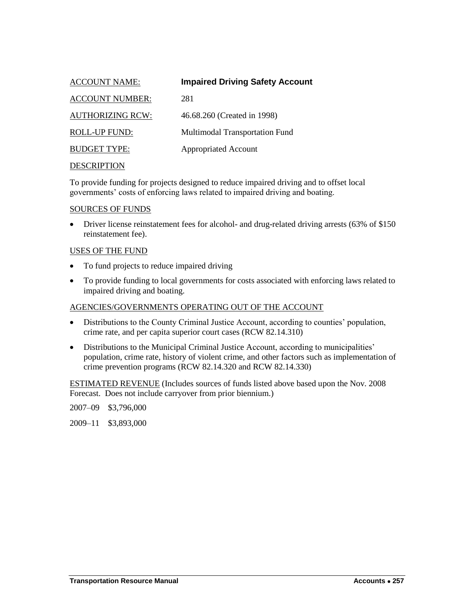<span id="page-20-0"></span>

| <b>ACCOUNT NAME:</b>    | <b>Impaired Driving Safety Account</b> |
|-------------------------|----------------------------------------|
| <b>ACCOUNT NUMBER:</b>  | 281                                    |
| <b>AUTHORIZING RCW:</b> | 46.68.260 (Created in 1998)            |
| ROLL-UP FUND:           | Multimodal Transportation Fund         |
| <b>BUDGET TYPE:</b>     | <b>Appropriated Account</b>            |
|                         |                                        |

To provide funding for projects designed to reduce impaired driving and to offset local governments' costs of enforcing laws related to impaired driving and boating.

#### SOURCES OF FUNDS

• Driver license reinstatement fees for alcohol- and drug-related driving arrests (63% of \$150) reinstatement fee).

#### USES OF THE FUND

- To fund projects to reduce impaired driving
- To provide funding to local governments for costs associated with enforcing laws related to impaired driving and boating.

#### AGENCIES/GOVERNMENTS OPERATING OUT OF THE ACCOUNT

- Distributions to the County Criminal Justice Account, according to counties' population, crime rate, and per capita superior court cases (RCW 82.14.310)
- Distributions to the Municipal Criminal Justice Account, according to municipalities' population, crime rate, history of violent crime, and other factors such as implementation of crime prevention programs (RCW 82.14.320 and RCW 82.14.330)

ESTIMATED REVENUE (Includes sources of funds listed above based upon the Nov. 2008 Forecast. Does not include carryover from prior biennium.)

2007–09 \$3,796,000

2009–11 \$3,893,000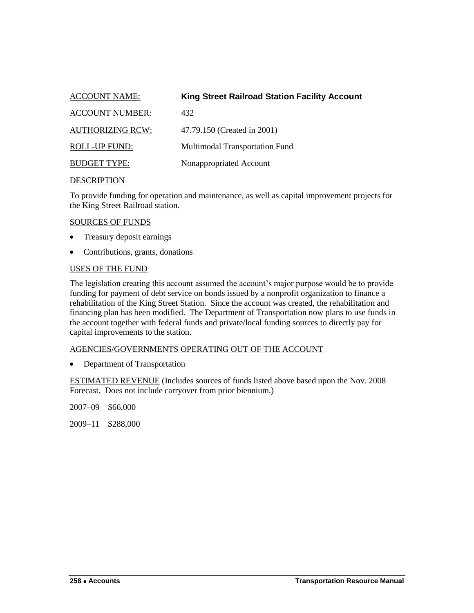<span id="page-21-0"></span>

| <b>ACCOUNT NAME:</b>    | <b>King Street Railroad Station Facility Account</b> |
|-------------------------|------------------------------------------------------|
| <b>ACCOUNT NUMBER:</b>  | 432                                                  |
| <b>AUTHORIZING RCW:</b> | 47.79.150 (Created in 2001)                          |
| <b>ROLL-UP FUND:</b>    | Multimodal Transportation Fund                       |
| <b>BUDGET TYPE:</b>     | Nonappropriated Account                              |

To provide funding for operation and maintenance, as well as capital improvement projects for the King Street Railroad station.

#### SOURCES OF FUNDS

- Treasury deposit earnings
- Contributions, grants, donations

#### USES OF THE FUND

The legislation creating this account assumed the account's major purpose would be to provide funding for payment of debt service on bonds issued by a nonprofit organization to finance a rehabilitation of the King Street Station. Since the account was created, the rehabilitation and financing plan has been modified. The Department of Transportation now plans to use funds in the account together with federal funds and private/local funding sources to directly pay for capital improvements to the station.

## AGENCIES/GOVERNMENTS OPERATING OUT OF THE ACCOUNT

• Department of Transportation

ESTIMATED REVENUE (Includes sources of funds listed above based upon the Nov. 2008 Forecast. Does not include carryover from prior biennium.)

2007–09 \$66,000

2009–11 \$288,000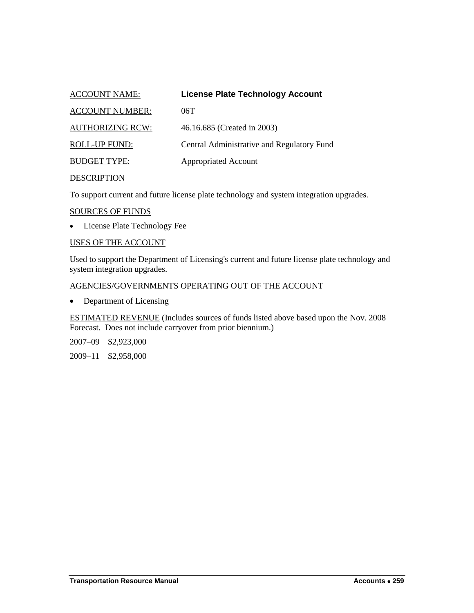<span id="page-22-0"></span>

| <b>ACCOUNT NAME:</b>    | <b>License Plate Technology Account</b>    |
|-------------------------|--------------------------------------------|
| <b>ACCOUNT NUMBER:</b>  | 06T                                        |
| <b>AUTHORIZING RCW:</b> | 46.16.685 (Created in 2003)                |
| <b>ROLL-UP FUND:</b>    | Central Administrative and Regulatory Fund |
| <b>BUDGET TYPE:</b>     | <b>Appropriated Account</b>                |
|                         |                                            |

To support current and future license plate technology and system integration upgrades.

#### SOURCES OF FUNDS

License Plate Technology Fee

## USES OF THE ACCOUNT

Used to support the Department of Licensing's current and future license plate technology and system integration upgrades.

## AGENCIES/GOVERNMENTS OPERATING OUT OF THE ACCOUNT

• Department of Licensing

ESTIMATED REVENUE (Includes sources of funds listed above based upon the Nov. 2008 Forecast. Does not include carryover from prior biennium.)

2007–09 \$2,923,000

2009–11 \$2,958,000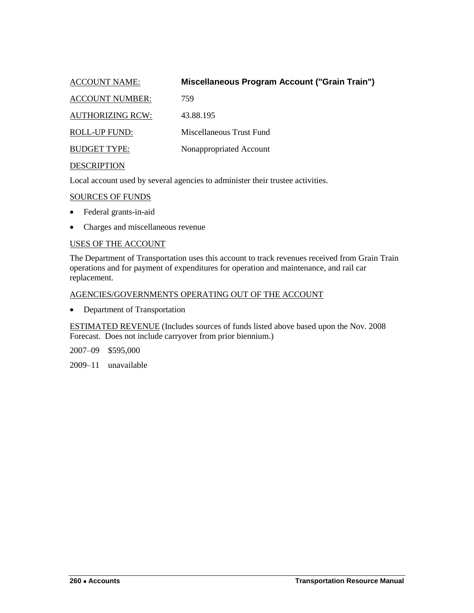<span id="page-23-0"></span>

| <b>ACCOUNT NAME:</b>    | Miscellaneous Program Account ("Grain Train") |
|-------------------------|-----------------------------------------------|
| <b>ACCOUNT NUMBER:</b>  | 759                                           |
| <b>AUTHORIZING RCW:</b> | 43.88.195                                     |
| <b>ROLL-UP FUND:</b>    | Miscellaneous Trust Fund                      |
| <b>BUDGET TYPE:</b>     | Nonappropriated Account                       |
| <b>DESCRIPTION</b>      |                                               |

Local account used by several agencies to administer their trustee activities.

#### SOURCES OF FUNDS

- Federal grants-in-aid
- Charges and miscellaneous revenue

#### USES OF THE ACCOUNT

The Department of Transportation uses this account to track revenues received from Grain Train operations and for payment of expenditures for operation and maintenance, and rail car replacement.

## AGENCIES/GOVERNMENTS OPERATING OUT OF THE ACCOUNT

• Department of Transportation

ESTIMATED REVENUE (Includes sources of funds listed above based upon the Nov. 2008 Forecast. Does not include carryover from prior biennium.)

2007–09 \$595,000

2009–11 unavailable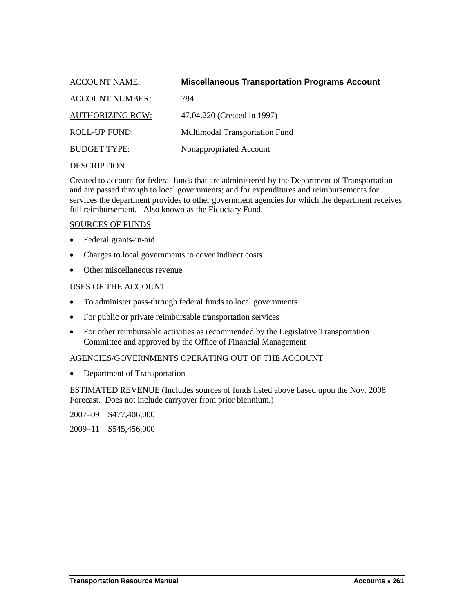<span id="page-24-0"></span>

| <b>ACCOUNT NAME:</b>    | <b>Miscellaneous Transportation Programs Account</b> |
|-------------------------|------------------------------------------------------|
| <b>ACCOUNT NUMBER:</b>  | 784                                                  |
| <b>AUTHORIZING RCW:</b> | 47.04.220 (Created in 1997)                          |
| ROLL-UP FUND:           | Multimodal Transportation Fund                       |
| <b>BUDGET TYPE:</b>     | Nonappropriated Account                              |

Created to account for federal funds that are administered by the Department of Transportation and are passed through to local governments; and for expenditures and reimbursements for services the department provides to other government agencies for which the department receives full reimbursement. Also known as the Fiduciary Fund.

#### SOURCES OF FUNDS

- Federal grants-in-aid
- Charges to local governments to cover indirect costs
- Other miscellaneous revenue

#### USES OF THE ACCOUNT

- To administer pass-through federal funds to local governments
- For public or private reimbursable transportation services
- For other reimbursable activities as recommended by the Legislative Transportation Committee and approved by the Office of Financial Management

#### AGENCIES/GOVERNMENTS OPERATING OUT OF THE ACCOUNT

• Department of Transportation

ESTIMATED REVENUE (Includes sources of funds listed above based upon the Nov. 2008 Forecast. Does not include carryover from prior biennium.)

2007–09 \$477,406,000

2009–11 \$545,456,000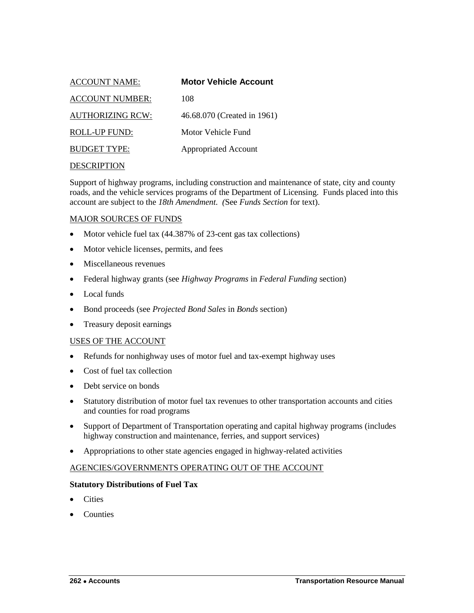<span id="page-25-0"></span>

| <b>ACCOUNT NAME:</b>    | <b>Motor Vehicle Account</b> |
|-------------------------|------------------------------|
| <b>ACCOUNT NUMBER:</b>  | 108                          |
| <b>AUTHORIZING RCW:</b> | 46.68.070 (Created in 1961)  |
| ROLL-UP FUND:           | Motor Vehicle Fund           |
| <b>BUDGET TYPE:</b>     | <b>Appropriated Account</b>  |
|                         |                              |

Support of highway programs, including construction and maintenance of state, city and county roads, and the vehicle services programs of the Department of Licensing. Funds placed into this account are subject to the *18th Amendment. (*See *Funds Section* for text).

#### MAJOR SOURCES OF FUNDS

- Motor vehicle fuel tax (44.387% of 23-cent gas tax collections)
- Motor vehicle licenses, permits, and fees
- Miscellaneous revenues
- Federal highway grants (see *Highway Programs* in *Federal Funding* section)
- Local funds
- Bond proceeds (see *Projected Bond Sales* in *Bonds* section)
- Treasury deposit earnings

#### USES OF THE ACCOUNT

- Refunds for nonhighway uses of motor fuel and tax-exempt highway uses
- Cost of fuel tax collection
- Debt service on bonds
- Statutory distribution of motor fuel tax revenues to other transportation accounts and cities and counties for road programs
- Support of Department of Transportation operating and capital highway programs (includes highway construction and maintenance, ferries, and support services)
- Appropriations to other state agencies engaged in highway-related activities

#### AGENCIES/GOVERNMENTS OPERATING OUT OF THE ACCOUNT

#### **Statutory Distributions of Fuel Tax**

- **Cities**
- Counties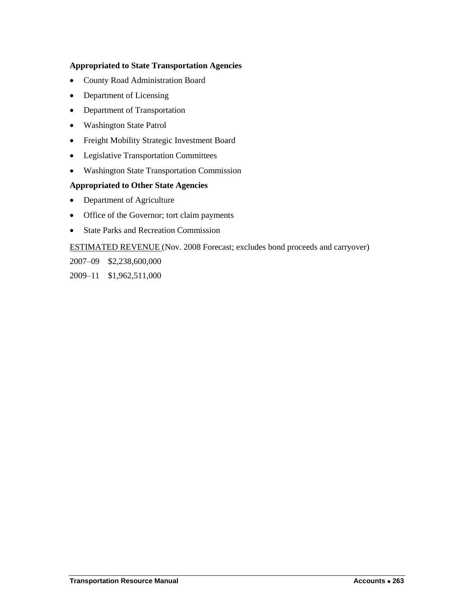## **Appropriated to State Transportation Agencies**

- County Road Administration Board
- Department of Licensing
- Department of Transportation
- Washington State Patrol
- Freight Mobility Strategic Investment Board
- Legislative Transportation Committees
- Washington State Transportation Commission

## **Appropriated to Other State Agencies**

- Department of Agriculture
- Office of the Governor; tort claim payments
- State Parks and Recreation Commission

ESTIMATED REVENUE (Nov. 2008 Forecast; excludes bond proceeds and carryover)

2007–09 \$2,238,600,000

2009–11 \$1,962,511,000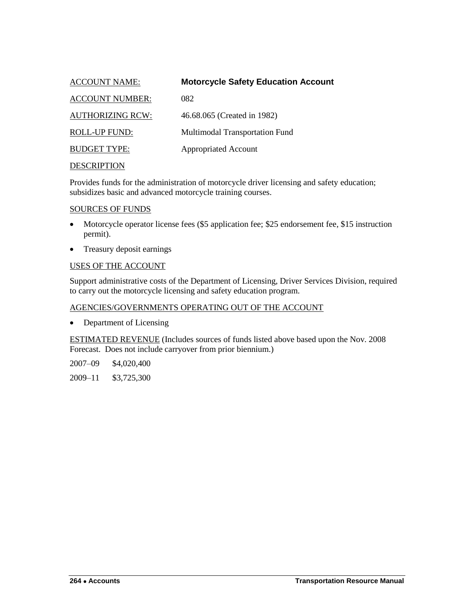<span id="page-27-0"></span>

| <b>ACCOUNT NAME:</b>    | <b>Motorcycle Safety Education Account</b> |
|-------------------------|--------------------------------------------|
| <b>ACCOUNT NUMBER:</b>  | 082                                        |
| <b>AUTHORIZING RCW:</b> | 46.68.065 (Created in 1982)                |
| <b>ROLL-UP FUND:</b>    | Multimodal Transportation Fund             |
| <b>BUDGET TYPE:</b>     | <b>Appropriated Account</b>                |
|                         |                                            |

Provides funds for the administration of motorcycle driver licensing and safety education; subsidizes basic and advanced motorcycle training courses.

#### SOURCES OF FUNDS

- Motorcycle operator license fees (\$5 application fee; \$25 endorsement fee, \$15 instruction permit).
- Treasury deposit earnings

## USES OF THE ACCOUNT

Support administrative costs of the Department of Licensing, Driver Services Division, required to carry out the motorcycle licensing and safety education program.

## AGENCIES/GOVERNMENTS OPERATING OUT OF THE ACCOUNT

• Department of Licensing

ESTIMATED REVENUE (Includes sources of funds listed above based upon the Nov. 2008 Forecast. Does not include carryover from prior biennium.)

2007–09 \$4,020,400

2009–11 \$3,725,300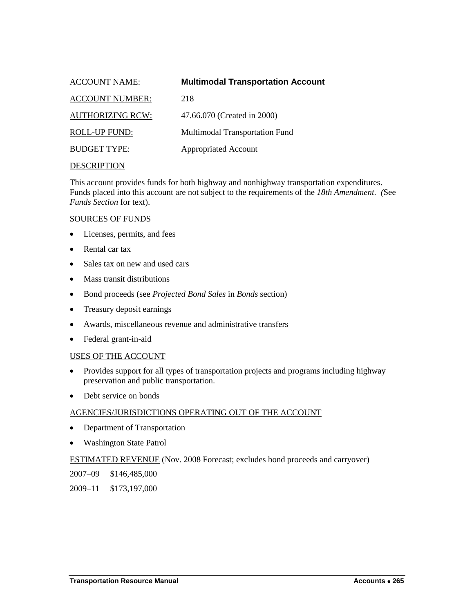<span id="page-28-0"></span>

| <b>ACCOUNT NAME:</b>    | <b>Multimodal Transportation Account</b> |
|-------------------------|------------------------------------------|
| <b>ACCOUNT NUMBER:</b>  | 218                                      |
| <b>AUTHORIZING RCW:</b> | 47.66.070 (Created in 2000)              |
| ROLL-UP FUND:           | Multimodal Transportation Fund           |
| <b>BUDGET TYPE:</b>     | <b>Appropriated Account</b>              |
|                         |                                          |

This account provides funds for both highway and nonhighway transportation expenditures. Funds placed into this account are not subject to the requirements of the *18th Amendment. (*See *Funds Section* for text).

#### SOURCES OF FUNDS

- Licenses, permits, and fees
- Rental car tax
- Sales tax on new and used cars
- Mass transit distributions
- Bond proceeds (see *Projected Bond Sales* in *Bonds* section)
- Treasury deposit earnings
- Awards, miscellaneous revenue and administrative transfers
- Federal grant-in-aid

#### USES OF THE ACCOUNT

- Provides support for all types of transportation projects and programs including highway preservation and public transportation.
- Debt service on bonds

## AGENCIES/JURISDICTIONS OPERATING OUT OF THE ACCOUNT

- Department of Transportation
- Washington State Patrol

#### ESTIMATED REVENUE (Nov. 2008 Forecast; excludes bond proceeds and carryover)

2007–09 \$146,485,000

2009–11 \$173,197,000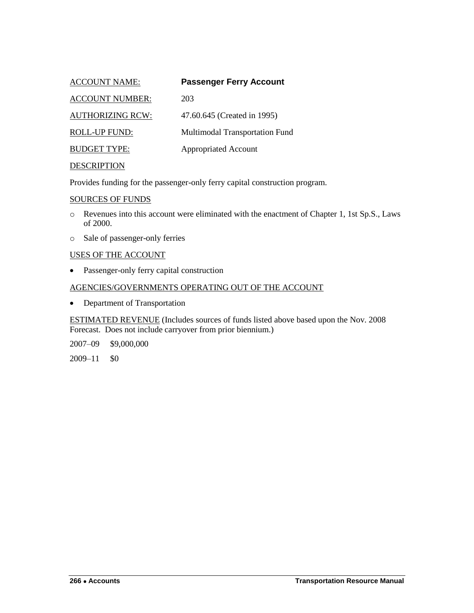<span id="page-29-0"></span>

| <b>ACCOUNT NAME:</b>    | <b>Passenger Ferry Account</b> |
|-------------------------|--------------------------------|
| <b>ACCOUNT NUMBER:</b>  | 203                            |
| <b>AUTHORIZING RCW:</b> | 47.60.645 (Created in 1995)    |
| ROLL-UP FUND:           | Multimodal Transportation Fund |
| <b>BUDGET TYPE:</b>     | <b>Appropriated Account</b>    |
|                         |                                |

Provides funding for the passenger-only ferry capital construction program.

#### SOURCES OF FUNDS

- o Revenues into this account were eliminated with the enactment of Chapter 1, 1st Sp.S., Laws of 2000.
- o Sale of passenger-only ferries

## USES OF THE ACCOUNT

Passenger-only ferry capital construction

## AGENCIES/GOVERNMENTS OPERATING OUT OF THE ACCOUNT

• Department of Transportation

ESTIMATED REVENUE (Includes sources of funds listed above based upon the Nov. 2008 Forecast. Does not include carryover from prior biennium.)

2007–09 \$9,000,000

2009–11 \$0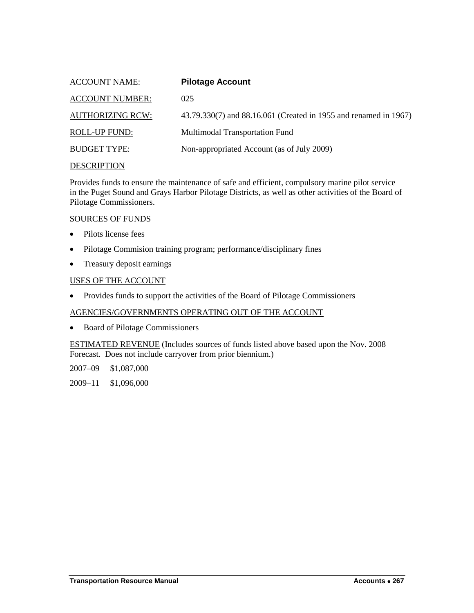<span id="page-30-0"></span>

| <b>ACCOUNT NAME:</b>    | <b>Pilotage Account</b>                                          |
|-------------------------|------------------------------------------------------------------|
| <b>ACCOUNT NUMBER:</b>  | 025                                                              |
| <b>AUTHORIZING RCW:</b> | 43.79.330(7) and 88.16.061 (Created in 1955 and renamed in 1967) |
| <b>ROLL-UP FUND:</b>    | Multimodal Transportation Fund                                   |
| <b>BUDGET TYPE:</b>     | Non-appropriated Account (as of July 2009)                       |
| <b>DESCRIPTION</b>      |                                                                  |

Provides funds to ensure the maintenance of safe and efficient, compulsory marine pilot service in the Puget Sound and Grays Harbor Pilotage Districts, as well as other activities of the Board of Pilotage Commissioners.

#### SOURCES OF FUNDS

- Pilots license fees
- Pilotage Commision training program; performance/disciplinary fines
- Treasury deposit earnings

#### USES OF THE ACCOUNT

• Provides funds to support the activities of the Board of Pilotage Commissioners

## AGENCIES/GOVERNMENTS OPERATING OUT OF THE ACCOUNT

• Board of Pilotage Commissioners

ESTIMATED REVENUE (Includes sources of funds listed above based upon the Nov. 2008 Forecast. Does not include carryover from prior biennium.)

2007–09 \$1,087,000

2009–11 \$1,096,000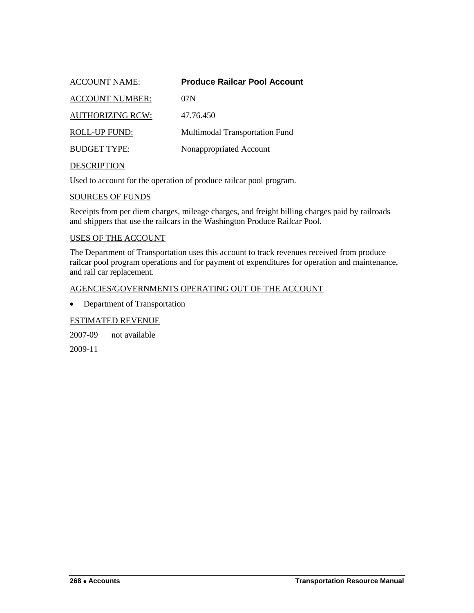<span id="page-31-0"></span>

| <b>ACCOUNT NAME:</b>    | <b>Produce Railcar Pool Account</b>   |
|-------------------------|---------------------------------------|
| <b>ACCOUNT NUMBER:</b>  | 07N                                   |
| <b>AUTHORIZING RCW:</b> | 47.76.450                             |
| <b>ROLL-UP FUND:</b>    | <b>Multimodal Transportation Fund</b> |
| <b>BUDGET TYPE:</b>     | Nonappropriated Account               |
| <b>DESCRIPTION</b>      |                                       |

Used to account for the operation of produce railcar pool program.

#### SOURCES OF FUNDS

Receipts from per diem charges, mileage charges, and freight billing charges paid by railroads and shippers that use the railcars in the Washington Produce Railcar Pool.

#### USES OF THE ACCOUNT

The Department of Transportation uses this account to track revenues received from produce railcar pool program operations and for payment of expenditures for operation and maintenance, and rail car replacement.

#### AGENCIES/GOVERNMENTS OPERATING OUT OF THE ACCOUNT

• Department of Transportation

#### ESTIMATED REVENUE

2007-09 not available

2009-11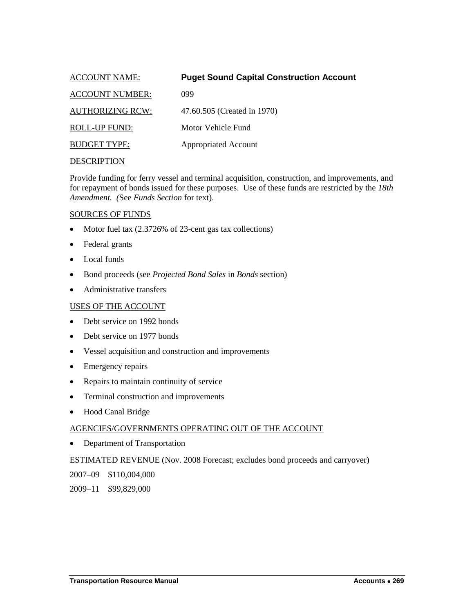<span id="page-32-0"></span>

| <b>ACCOUNT NAME:</b>    | <b>Puget Sound Capital Construction Account</b> |
|-------------------------|-------------------------------------------------|
| <b>ACCOUNT NUMBER:</b>  | 099                                             |
| <b>AUTHORIZING RCW:</b> | 47.60.505 (Created in 1970)                     |
| ROLL-UP FUND:           | Motor Vehicle Fund                              |
| <b>BUDGET TYPE:</b>     | <b>Appropriated Account</b>                     |
|                         |                                                 |

Provide funding for ferry vessel and terminal acquisition, construction, and improvements, and for repayment of bonds issued for these purposes. Use of these funds are restricted by the *18th Amendment. (*See *Funds Section* for text).

## SOURCES OF FUNDS

- Motor fuel tax (2.3726% of 23-cent gas tax collections)
- Federal grants
- Local funds
- Bond proceeds (see *Projected Bond Sales* in *Bonds* section)
- Administrative transfers

## USES OF THE ACCOUNT

- Debt service on 1992 bonds
- Debt service on 1977 bonds
- Vessel acquisition and construction and improvements
- Emergency repairs
- Repairs to maintain continuity of service
- Terminal construction and improvements
- Hood Canal Bridge

## AGENCIES/GOVERNMENTS OPERATING OUT OF THE ACCOUNT

• Department of Transportation

## ESTIMATED REVENUE (Nov. 2008 Forecast; excludes bond proceeds and carryover)

2007–09 \$110,004,000

2009–11 \$99,829,000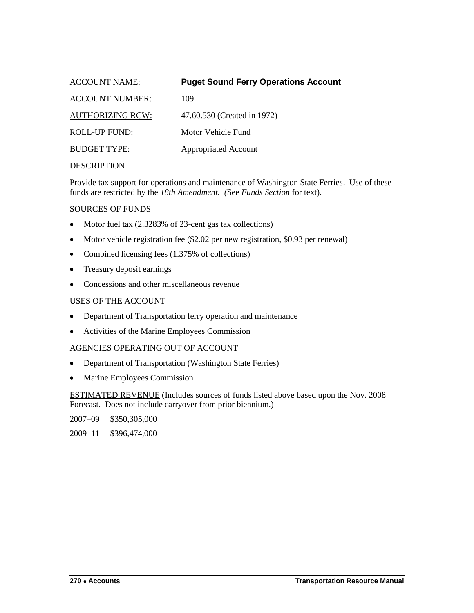<span id="page-33-0"></span>

| <b>ACCOUNT NAME:</b>    | <b>Puget Sound Ferry Operations Account</b> |
|-------------------------|---------------------------------------------|
| <b>ACCOUNT NUMBER:</b>  | 109                                         |
| <b>AUTHORIZING RCW:</b> | 47.60.530 (Created in 1972)                 |
| ROLL-UP FUND:           | Motor Vehicle Fund                          |
| <b>BUDGET TYPE:</b>     | <b>Appropriated Account</b>                 |
| <b>DESCRIPTION</b>      |                                             |

Provide tax support for operations and maintenance of Washington State Ferries. Use of these funds are restricted by the *18th Amendment. (*See *Funds Section* for text).

#### SOURCES OF FUNDS

- Motor fuel tax (2.3283% of 23-cent gas tax collections)
- Motor vehicle registration fee (\$2.02 per new registration, \$0.93 per renewal)
- Combined licensing fees (1.375% of collections)
- Treasury deposit earnings
- Concessions and other miscellaneous revenue

#### USES OF THE ACCOUNT

- Department of Transportation ferry operation and maintenance
- Activities of the Marine Employees Commission

#### AGENCIES OPERATING OUT OF ACCOUNT

- Department of Transportation (Washington State Ferries)
- Marine Employees Commission

ESTIMATED REVENUE (Includes sources of funds listed above based upon the Nov. 2008 Forecast. Does not include carryover from prior biennium.)

2007–09 \$350,305,000

2009–11 \$396,474,000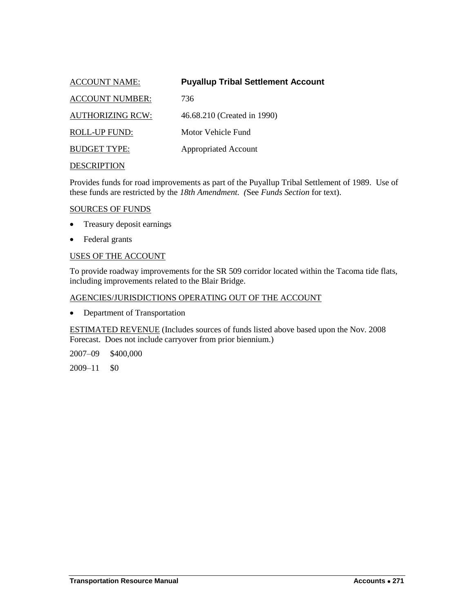<span id="page-34-0"></span>

| <b>ACCOUNT NAME:</b>    | <b>Puyallup Tribal Settlement Account</b> |
|-------------------------|-------------------------------------------|
| <b>ACCOUNT NUMBER:</b>  | 736                                       |
| <b>AUTHORIZING RCW:</b> | 46.68.210 (Created in 1990)               |
| ROLL-UP FUND:           | Motor Vehicle Fund                        |
| <b>BUDGET TYPE:</b>     | <b>Appropriated Account</b>               |
| <b>DESCRIPTION</b>      |                                           |

Provides funds for road improvements as part of the Puyallup Tribal Settlement of 1989. Use of these funds are restricted by the *18th Amendment. (*See *Funds Section* for text).

## SOURCES OF FUNDS

- Treasury deposit earnings
- Federal grants

#### USES OF THE ACCOUNT

To provide roadway improvements for the SR 509 corridor located within the Tacoma tide flats, including improvements related to the Blair Bridge.

## AGENCIES/JURISDICTIONS OPERATING OUT OF THE ACCOUNT

• Department of Transportation

ESTIMATED REVENUE (Includes sources of funds listed above based upon the Nov. 2008 Forecast. Does not include carryover from prior biennium.)

2007–09 \$400,000

2009–11 \$0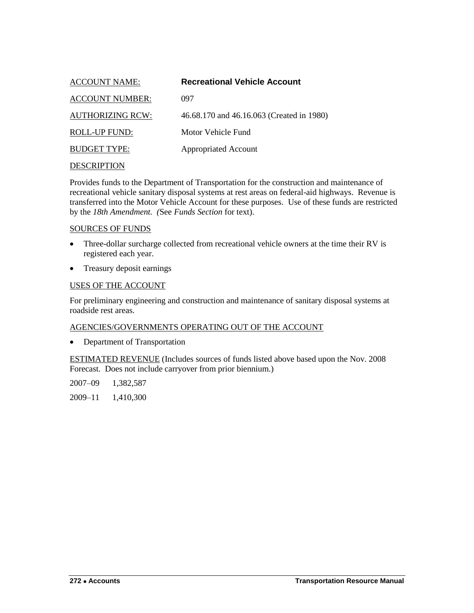<span id="page-35-0"></span>

| ACCOUNT NAME:           | <b>Recreational Vehicle Account</b>       |
|-------------------------|-------------------------------------------|
| <b>ACCOUNT NUMBER:</b>  | 097                                       |
| <b>AUTHORIZING RCW:</b> | 46.68.170 and 46.16.063 (Created in 1980) |
| ROLL-UP FUND:           | Motor Vehicle Fund                        |
| <b>BUDGET TYPE:</b>     | <b>Appropriated Account</b>               |
|                         |                                           |

Provides funds to the Department of Transportation for the construction and maintenance of recreational vehicle sanitary disposal systems at rest areas on federal-aid highways. Revenue is transferred into the Motor Vehicle Account for these purposes. Use of these funds are restricted by the *18th Amendment. (*See *Funds Section* for text).

#### SOURCES OF FUNDS

- Three-dollar surcharge collected from recreational vehicle owners at the time their RV is registered each year.
- Treasury deposit earnings

## USES OF THE ACCOUNT

For preliminary engineering and construction and maintenance of sanitary disposal systems at roadside rest areas.

#### AGENCIES/GOVERNMENTS OPERATING OUT OF THE ACCOUNT

• Department of Transportation

ESTIMATED REVENUE (Includes sources of funds listed above based upon the Nov. 2008 Forecast. Does not include carryover from prior biennium.)

2007–09 1,382,587

2009–11 1,410,300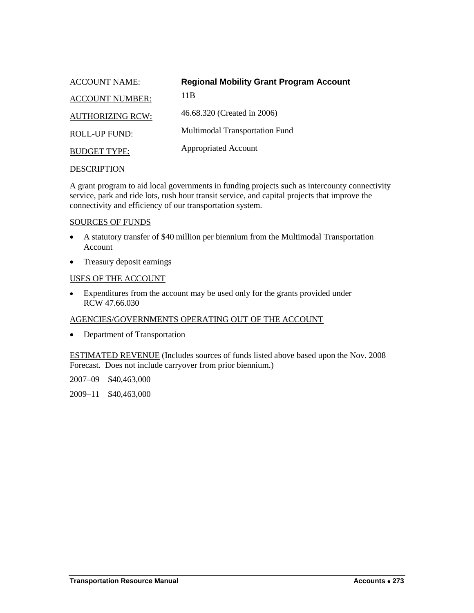<span id="page-36-0"></span>

| <b>ACCOUNT NAME:</b>    | <b>Regional Mobility Grant Program Account</b> |
|-------------------------|------------------------------------------------|
| <b>ACCOUNT NUMBER:</b>  | 11 B                                           |
| <b>AUTHORIZING RCW:</b> | 46.68.320 (Created in 2006)                    |
| <b>ROLL-UP FUND:</b>    | <b>Multimodal Transportation Fund</b>          |
| <b>BUDGET TYPE:</b>     | <b>Appropriated Account</b>                    |

A grant program to aid local governments in funding projects such as intercounty connectivity service, park and ride lots, rush hour transit service, and capital projects that improve the connectivity and efficiency of our transportation system.

## SOURCES OF FUNDS

- A statutory transfer of \$40 million per biennium from the Multimodal Transportation Account
- Treasury deposit earnings

#### USES OF THE ACCOUNT

 Expenditures from the account may be used only for the grants provided under RCW 47.66.030

## AGENCIES/GOVERNMENTS OPERATING OUT OF THE ACCOUNT

• Department of Transportation

ESTIMATED REVENUE (Includes sources of funds listed above based upon the Nov. 2008 Forecast. Does not include carryover from prior biennium.)

2007–09 \$40,463,000

2009–11 \$40,463,000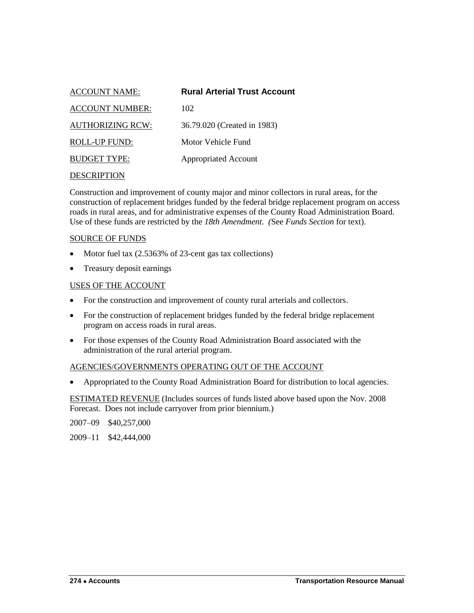<span id="page-37-0"></span>

| <b>ACCOUNT NAME:</b>    | <b>Rural Arterial Trust Account</b> |
|-------------------------|-------------------------------------|
| <b>ACCOUNT NUMBER:</b>  | 102                                 |
| <b>AUTHORIZING RCW:</b> | 36.79.020 (Created in 1983)         |
| ROLL-UP FUND:           | Motor Vehicle Fund                  |
| <b>BUDGET TYPE:</b>     | <b>Appropriated Account</b>         |
|                         |                                     |

Construction and improvement of county major and minor collectors in rural areas, for the construction of replacement bridges funded by the federal bridge replacement program on access roads in rural areas, and for administrative expenses of the County Road Administration Board. Use of these funds are restricted by the *18th Amendment. (*See *Funds Section* for text).

#### SOURCE OF FUNDS

- Motor fuel tax  $(2.5363\% \text{ of } 23\text{-cent gas tax collections})$
- Treasury deposit earnings

## USES OF THE ACCOUNT

- For the construction and improvement of county rural arterials and collectors.
- For the construction of replacement bridges funded by the federal bridge replacement program on access roads in rural areas.
- For those expenses of the County Road Administration Board associated with the administration of the rural arterial program.

#### AGENCIES/GOVERNMENTS OPERATING OUT OF THE ACCOUNT

Appropriated to the County Road Administration Board for distribution to local agencies.

ESTIMATED REVENUE (Includes sources of funds listed above based upon the Nov. 2008 Forecast. Does not include carryover from prior biennium.)

2007–09 \$40,257,000

2009–11 \$42,444,000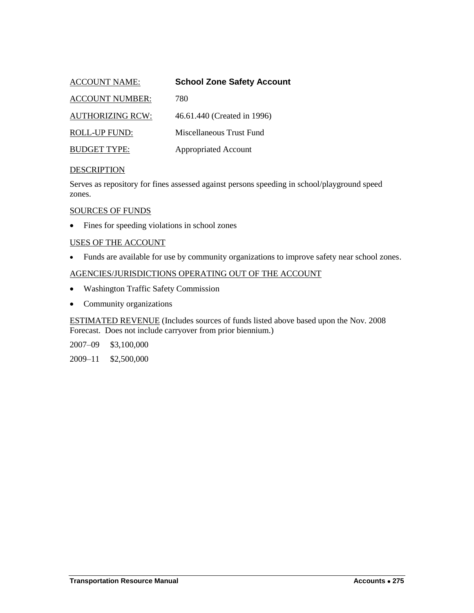<span id="page-38-0"></span>

| <b>ACCOUNT NAME:</b>    | <b>School Zone Safety Account</b> |
|-------------------------|-----------------------------------|
| <b>ACCOUNT NUMBER:</b>  | 780                               |
| <b>AUTHORIZING RCW:</b> | 46.61.440 (Created in 1996)       |
| <b>ROLL-UP FUND:</b>    | Miscellaneous Trust Fund          |
| <b>BUDGET TYPE:</b>     | <b>Appropriated Account</b>       |

Serves as repository for fines assessed against persons speeding in school/playground speed zones.

#### SOURCES OF FUNDS

Fines for speeding violations in school zones

#### USES OF THE ACCOUNT

Funds are available for use by community organizations to improve safety near school zones.

## AGENCIES/JURISDICTIONS OPERATING OUT OF THE ACCOUNT

- Washington Traffic Safety Commission
- Community organizations

ESTIMATED REVENUE (Includes sources of funds listed above based upon the Nov. 2008 Forecast. Does not include carryover from prior biennium.)

2007–09 \$3,100,000

2009–11 \$2,500,000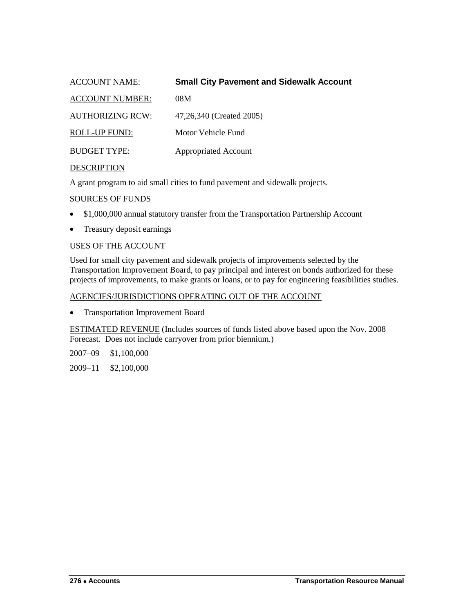<span id="page-39-0"></span>

| <b>ACCOUNT NAME:</b>    | <b>Small City Pavement and Sidewalk Account</b> |
|-------------------------|-------------------------------------------------|
| <b>ACCOUNT NUMBER:</b>  | 08M                                             |
| <b>AUTHORIZING RCW:</b> | 47,26,340 (Created 2005)                        |
| <b>ROLL-UP FUND:</b>    | Motor Vehicle Fund                              |
| <b>BUDGET TYPE:</b>     | <b>Appropriated Account</b>                     |
| <b>DESCRIPTION</b>      |                                                 |

A grant program to aid small cities to fund pavement and sidewalk projects.

#### SOURCES OF FUNDS

- \$1,000,000 annual statutory transfer from the Transportation Partnership Account
- Treasury deposit earnings

#### USES OF THE ACCOUNT

Used for small city pavement and sidewalk projects of improvements selected by the Transportation Improvement Board, to pay principal and interest on bonds authorized for these projects of improvements, to make grants or loans, or to pay for engineering feasibilities studies.

#### AGENCIES/JURISDICTIONS OPERATING OUT OF THE ACCOUNT

• Transportation Improvement Board

ESTIMATED REVENUE (Includes sources of funds listed above based upon the Nov. 2008 Forecast. Does not include carryover from prior biennium.)

2007–09 \$1,100,000

2009–11 \$2,100,000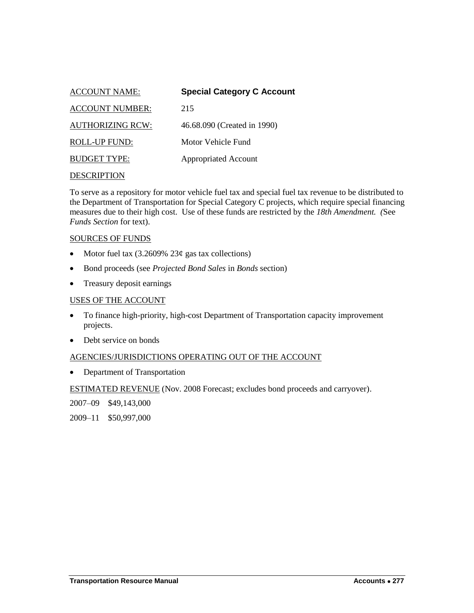<span id="page-40-0"></span>

| <b>ACCOUNT NAME:</b>    | <b>Special Category C Account</b> |
|-------------------------|-----------------------------------|
| <b>ACCOUNT NUMBER:</b>  | 215                               |
| <b>AUTHORIZING RCW:</b> | 46.68.090 (Created in 1990)       |
| ROLL-UP FUND:           | Motor Vehicle Fund                |
| <b>BUDGET TYPE:</b>     | <b>Appropriated Account</b>       |
|                         |                                   |

To serve as a repository for motor vehicle fuel tax and special fuel tax revenue to be distributed to the Department of Transportation for Special Category C projects, which require special financing measures due to their high cost. Use of these funds are restricted by the *18th Amendment. (*See *Funds Section* for text).

#### SOURCES OF FUNDS

- Motor fuel tax  $(3.2609\% 23¢$  gas tax collections)
- Bond proceeds (see *Projected Bond Sales* in *Bonds* section)
- Treasury deposit earnings

#### USES OF THE ACCOUNT

- To finance high-priority, high-cost Department of Transportation capacity improvement projects.
- Debt service on bonds

#### AGENCIES/JURISDICTIONS OPERATING OUT OF THE ACCOUNT

• Department of Transportation

ESTIMATED REVENUE (Nov. 2008 Forecast; excludes bond proceeds and carryover).

2007–09 \$49,143,000

2009–11 \$50,997,000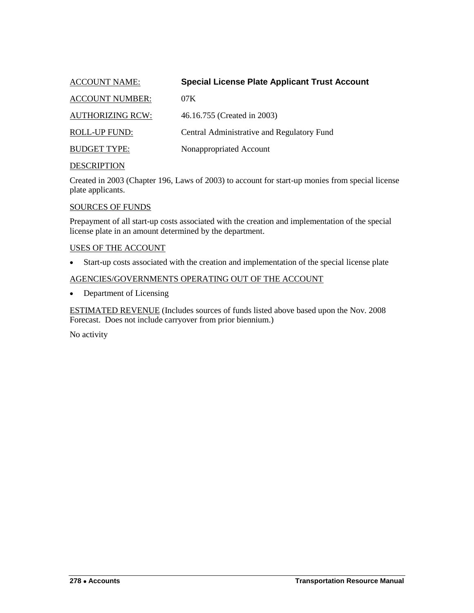<span id="page-41-0"></span>

| <b>ACCOUNT NAME:</b>    | <b>Special License Plate Applicant Trust Account</b> |
|-------------------------|------------------------------------------------------|
| <b>ACCOUNT NUMBER:</b>  | 07K                                                  |
| <b>AUTHORIZING RCW:</b> | 46.16.755 (Created in 2003)                          |
| <b>ROLL-UP FUND:</b>    | Central Administrative and Regulatory Fund           |
| <b>BUDGET TYPE:</b>     | Nonappropriated Account                              |
|                         |                                                      |

Created in 2003 (Chapter 196, Laws of 2003) to account for start-up monies from special license plate applicants.

## SOURCES OF FUNDS

Prepayment of all start-up costs associated with the creation and implementation of the special license plate in an amount determined by the department.

## USES OF THE ACCOUNT

Start-up costs associated with the creation and implementation of the special license plate

## AGENCIES/GOVERNMENTS OPERATING OUT OF THE ACCOUNT

• Department of Licensing

ESTIMATED REVENUE (Includes sources of funds listed above based upon the Nov. 2008 Forecast. Does not include carryover from prior biennium.)

No activity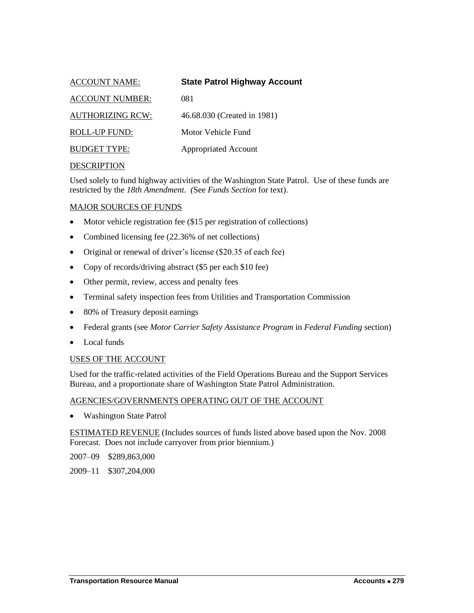<span id="page-42-0"></span>

| <b>ACCOUNT NAME:</b>    | <b>State Patrol Highway Account</b> |
|-------------------------|-------------------------------------|
| <b>ACCOUNT NUMBER:</b>  | 081                                 |
| <b>AUTHORIZING RCW:</b> | 46.68.030 (Created in 1981)         |
| <b>ROLL-UP FUND:</b>    | Motor Vehicle Fund                  |
| <b>BUDGET TYPE:</b>     | <b>Appropriated Account</b>         |
|                         |                                     |

Used solely to fund highway activities of the Washington State Patrol. Use of these funds are restricted by the *18th Amendment. (*See *Funds Section* for text).

## MAJOR SOURCES OF FUNDS

- Motor vehicle registration fee (\$15 per registration of collections)
- Combined licensing fee (22.36% of net collections)
- Original or renewal of driver's license (\$20.35 of each fee)
- Copy of records/driving abstract (\$5 per each \$10 fee)
- Other permit, review, access and penalty fees
- Terminal safety inspection fees from Utilities and Transportation Commission
- 80% of Treasury deposit earnings
- Federal grants (see *Motor Carrier Safety Assistance Program* in *Federal Funding* section)
- Local funds

#### USES OF THE ACCOUNT

Used for the traffic-related activities of the Field Operations Bureau and the Support Services Bureau, and a proportionate share of Washington State Patrol Administration.

#### AGENCIES/GOVERNMENTS OPERATING OUT OF THE ACCOUNT

• Washington State Patrol

ESTIMATED REVENUE (Includes sources of funds listed above based upon the Nov. 2008 Forecast. Does not include carryover from prior biennium.)

2007–09 \$289,863,000

2009–11 \$307,204,000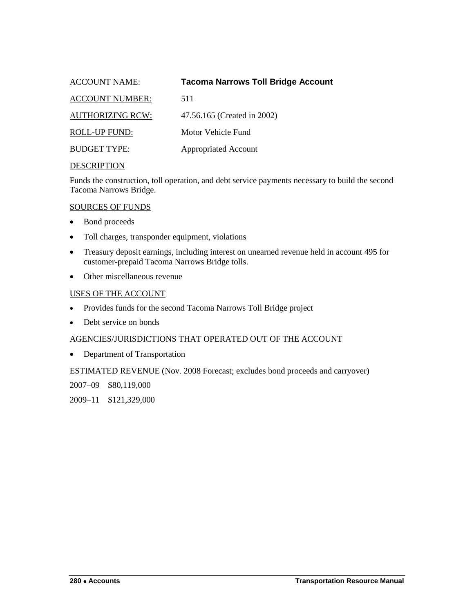<span id="page-43-0"></span>

| <b>Tacoma Narrows Toll Bridge Account</b><br>ACCOUNT NAME: |  |
|------------------------------------------------------------|--|
| <b>ACCOUNT NUMBER:</b><br>511                              |  |
| <b>AUTHORIZING RCW:</b><br>47.56.165 (Created in 2002)     |  |
| Motor Vehicle Fund<br>ROLL-UP FUND:                        |  |
| <b>BUDGET TYPE:</b><br><b>Appropriated Account</b>         |  |

Funds the construction, toll operation, and debt service payments necessary to build the second Tacoma Narrows Bridge.

## SOURCES OF FUNDS

- Bond proceeds
- Toll charges, transponder equipment, violations
- Treasury deposit earnings, including interest on unearned revenue held in account 495 for customer-prepaid Tacoma Narrows Bridge tolls.
- Other miscellaneous revenue

## USES OF THE ACCOUNT

- Provides funds for the second Tacoma Narrows Toll Bridge project
- Debt service on bonds

## AGENCIES/JURISDICTIONS THAT OPERATED OUT OF THE ACCOUNT

• Department of Transportation

ESTIMATED REVENUE (Nov. 2008 Forecast; excludes bond proceeds and carryover)

2007–09 \$80,119,000

2009–11 \$121,329,000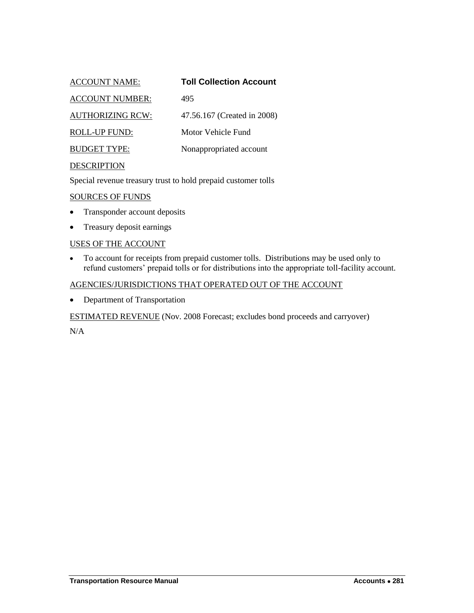<span id="page-44-0"></span>

| <b>ACCOUNT NAME:</b>    | <b>Toll Collection Account</b> |
|-------------------------|--------------------------------|
| <b>ACCOUNT NUMBER:</b>  | 495                            |
| <b>AUTHORIZING RCW:</b> | 47.56.167 (Created in 2008)    |
| <b>ROLL-UP FUND:</b>    | Motor Vehicle Fund             |
| <b>BUDGET TYPE:</b>     | Nonappropriated account        |
| <b>DESCRIPTION</b>      |                                |

Special revenue treasury trust to hold prepaid customer tolls

#### SOURCES OF FUNDS

- Transponder account deposits
- Treasury deposit earnings

## USES OF THE ACCOUNT

 To account for receipts from prepaid customer tolls. Distributions may be used only to refund customers' prepaid tolls or for distributions into the appropriate toll-facility account.

#### AGENCIES/JURISDICTIONS THAT OPERATED OUT OF THE ACCOUNT

• Department of Transportation

ESTIMATED REVENUE (Nov. 2008 Forecast; excludes bond proceeds and carryover)

 $N/A$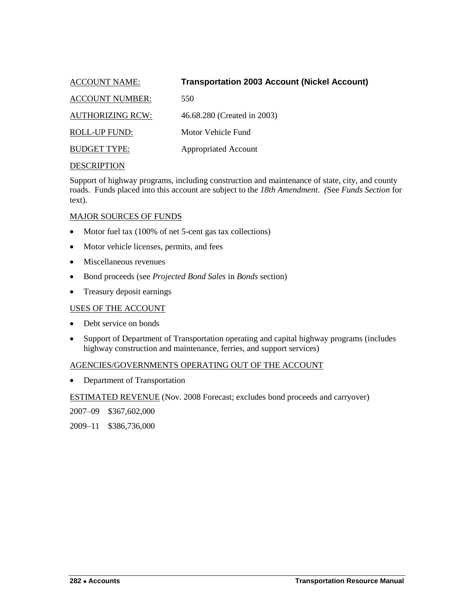<span id="page-45-0"></span>

| <b>ACCOUNT NAME:</b>    | <b>Transportation 2003 Account (Nickel Account)</b> |
|-------------------------|-----------------------------------------------------|
| <b>ACCOUNT NUMBER:</b>  | 550                                                 |
| <b>AUTHORIZING RCW:</b> | 46.68.280 (Created in 2003)                         |
| <b>ROLL-UP FUND:</b>    | Motor Vehicle Fund                                  |
| <b>BUDGET TYPE:</b>     | <b>Appropriated Account</b>                         |

Support of highway programs, including construction and maintenance of state, city, and county roads. Funds placed into this account are subject to the *18th Amendment. (*See *Funds Section* for text).

## MAJOR SOURCES OF FUNDS

- Motor fuel tax (100% of net 5-cent gas tax collections)
- Motor vehicle licenses, permits, and fees
- Miscellaneous revenues
- Bond proceeds (see *Projected Bond Sales* in *Bonds* section)
- Treasury deposit earnings

## USES OF THE ACCOUNT

- Debt service on bonds
- Support of Department of Transportation operating and capital highway programs (includes highway construction and maintenance, ferries, and support services)

## AGENCIES/GOVERNMENTS OPERATING OUT OF THE ACCOUNT

• Department of Transportation

ESTIMATED REVENUE (Nov. 2008 Forecast; excludes bond proceeds and carryover)

2007–09 \$367,602,000

2009–11 \$386,736,000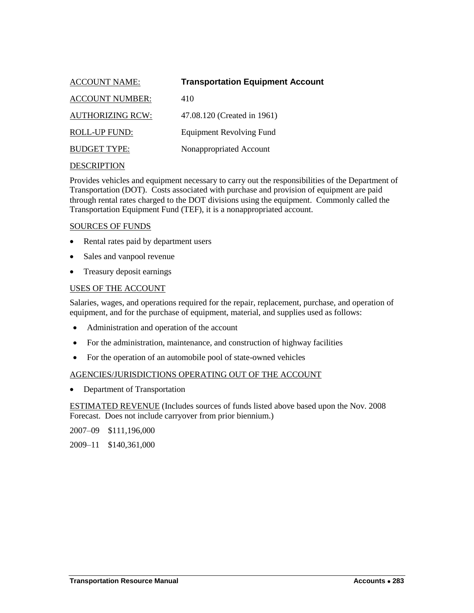<span id="page-46-0"></span>

| <b>ACCOUNT NAME:</b>    | <b>Transportation Equipment Account</b> |
|-------------------------|-----------------------------------------|
| <b>ACCOUNT NUMBER:</b>  | 410                                     |
| <b>AUTHORIZING RCW:</b> | 47.08.120 (Created in 1961)             |
| ROLL-UP FUND:           | <b>Equipment Revolving Fund</b>         |
| <b>BUDGET TYPE:</b>     | Nonappropriated Account                 |
|                         |                                         |

Provides vehicles and equipment necessary to carry out the responsibilities of the Department of Transportation (DOT). Costs associated with purchase and provision of equipment are paid through rental rates charged to the DOT divisions using the equipment. Commonly called the Transportation Equipment Fund (TEF), it is a nonappropriated account.

#### SOURCES OF FUNDS

- Rental rates paid by department users
- Sales and vanpool revenue
- Treasury deposit earnings

## USES OF THE ACCOUNT

Salaries, wages, and operations required for the repair, replacement, purchase, and operation of equipment, and for the purchase of equipment, material, and supplies used as follows:

- Administration and operation of the account
- For the administration, maintenance, and construction of highway facilities
- For the operation of an automobile pool of state-owned vehicles

## AGENCIES/JURISDICTIONS OPERATING OUT OF THE ACCOUNT

• Department of Transportation

ESTIMATED REVENUE (Includes sources of funds listed above based upon the Nov. 2008 Forecast. Does not include carryover from prior biennium.)

2007–09 \$111,196,000

2009–11 \$140,361,000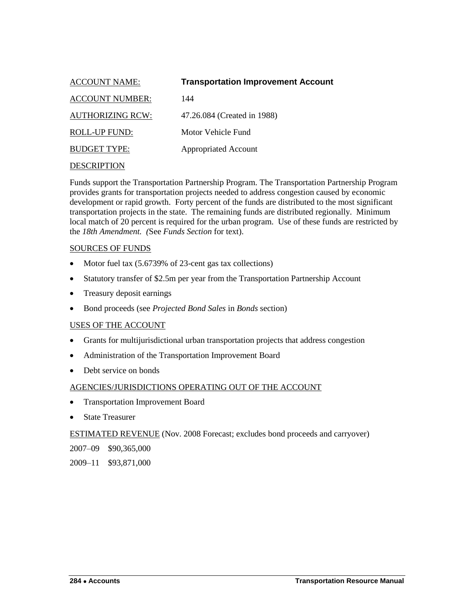<span id="page-47-0"></span>

| <b>ACCOUNT NAME:</b>    | <b>Transportation Improvement Account</b> |
|-------------------------|-------------------------------------------|
| <b>ACCOUNT NUMBER:</b>  | 144                                       |
| <b>AUTHORIZING RCW:</b> | 47.26.084 (Created in 1988)               |
| ROLL-UP FUND:           | Motor Vehicle Fund                        |
| <b>BUDGET TYPE:</b>     | <b>Appropriated Account</b>               |
| <b>DESCRIPTION</b>      |                                           |

Funds support the Transportation Partnership Program. The Transportation Partnership Program provides grants for transportation projects needed to address congestion caused by economic development or rapid growth. Forty percent of the funds are distributed to the most significant transportation projects in the state. The remaining funds are distributed regionally. Minimum local match of 20 percent is required for the urban program. Use of these funds are restricted by the *18th Amendment. (*See *Funds Section* for text).

#### SOURCES OF FUNDS

- Motor fuel tax (5.6739% of 23-cent gas tax collections)
- Statutory transfer of \$2.5m per year from the Transportation Partnership Account
- Treasury deposit earnings
- Bond proceeds (see *Projected Bond Sales* in *Bonds* section)

## USES OF THE ACCOUNT

- Grants for multijurisdictional urban transportation projects that address congestion
- Administration of the Transportation Improvement Board
- Debt service on bonds

## AGENCIES/JURISDICTIONS OPERATING OUT OF THE ACCOUNT

- Transportation Improvement Board
- State Treasurer

ESTIMATED REVENUE (Nov. 2008 Forecast; excludes bond proceeds and carryover)

2007–09 \$90,365,000

2009–11 \$93,871,000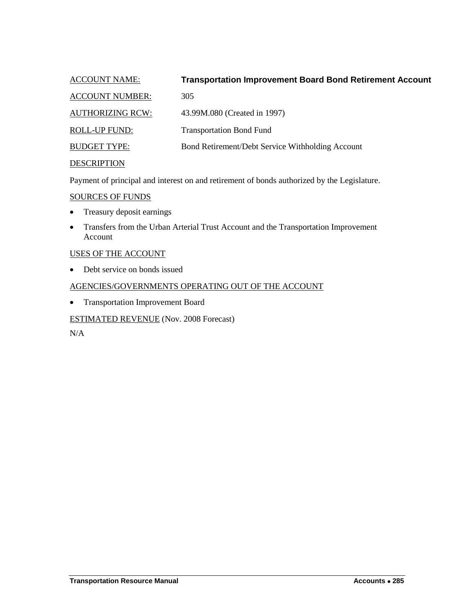<span id="page-48-0"></span>

| <b>ACCOUNT NAME:</b>    | <b>Transportation Improvement Board Bond Retirement Account</b> |
|-------------------------|-----------------------------------------------------------------|
| <b>ACCOUNT NUMBER:</b>  | 305                                                             |
| <b>AUTHORIZING RCW:</b> | 43.99M.080 (Created in 1997)                                    |
| <b>ROLL-UP FUND:</b>    | <b>Transportation Bond Fund</b>                                 |
| <b>BUDGET TYPE:</b>     | Bond Retirement/Debt Service Withholding Account                |
| <b>DESCRIPTION</b>      |                                                                 |

Payment of principal and interest on and retirement of bonds authorized by the Legislature.

#### SOURCES OF FUNDS

- Treasury deposit earnings
- Transfers from the Urban Arterial Trust Account and the Transportation Improvement Account

## USES OF THE ACCOUNT

• Debt service on bonds issued

## AGENCIES/GOVERNMENTS OPERATING OUT OF THE ACCOUNT

Transportation Improvement Board

## ESTIMATED REVENUE (Nov. 2008 Forecast)

 $N/A$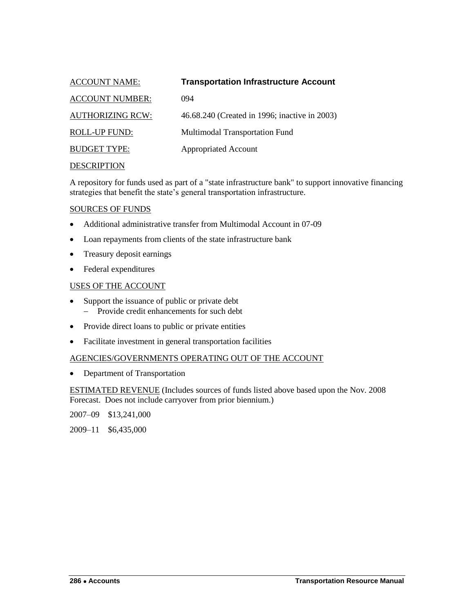<span id="page-49-0"></span>

| <b>ACCOUNT NAME:</b>    | <b>Transportation Infrastructure Account</b>  |
|-------------------------|-----------------------------------------------|
| <b>ACCOUNT NUMBER:</b>  | 094                                           |
| <b>AUTHORIZING RCW:</b> | 46.68.240 (Created in 1996; inactive in 2003) |
| <b>ROLL-UP FUND:</b>    | Multimodal Transportation Fund                |
| <b>BUDGET TYPE:</b>     | <b>Appropriated Account</b>                   |
|                         |                                               |

A repository for funds used as part of a "state infrastructure bank" to support innovative financing strategies that benefit the state's general transportation infrastructure.

#### SOURCES OF FUNDS

- Additional administrative transfer from Multimodal Account in 07-09
- Loan repayments from clients of the state infrastructure bank
- Treasury deposit earnings
- Federal expenditures

#### USES OF THE ACCOUNT

- Support the issuance of public or private debt
	- Provide credit enhancements for such debt
- Provide direct loans to public or private entities
- Facilitate investment in general transportation facilities

#### AGENCIES/GOVERNMENTS OPERATING OUT OF THE ACCOUNT

• Department of Transportation

ESTIMATED REVENUE (Includes sources of funds listed above based upon the Nov. 2008 Forecast. Does not include carryover from prior biennium.)

2007–09 \$13,241,000

2009–11 \$6,435,000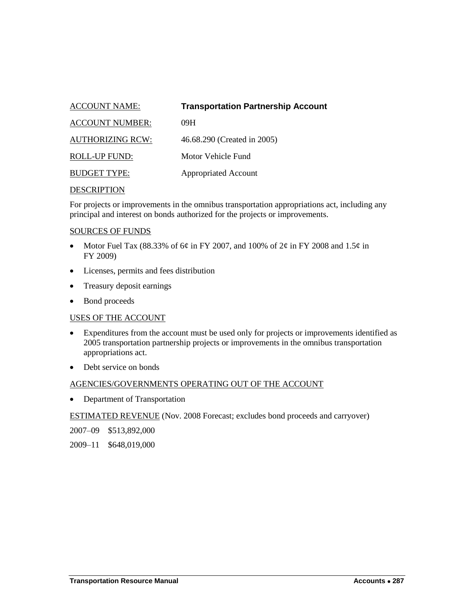<span id="page-50-0"></span>

| <b>ACCOUNT NAME:</b>    | <b>Transportation Partnership Account</b> |
|-------------------------|-------------------------------------------|
| <b>ACCOUNT NUMBER:</b>  | 09H                                       |
| <b>AUTHORIZING RCW:</b> | 46.68.290 (Created in 2005)               |
| ROLL-UP FUND:           | Motor Vehicle Fund                        |
| <b>BUDGET TYPE:</b>     | <b>Appropriated Account</b>               |
|                         |                                           |

For projects or improvements in the omnibus transportation appropriations act, including any principal and interest on bonds authorized for the projects or improvements.

#### SOURCES OF FUNDS

- Motor Fuel Tax (88.33% of 6¢ in FY 2007, and 100% of 2¢ in FY 2008 and 1.5¢ in FY 2009)
- Licenses, permits and fees distribution
- Treasury deposit earnings
- Bond proceeds

## USES OF THE ACCOUNT

- Expenditures from the account must be used only for projects or improvements identified as 2005 transportation partnership projects or improvements in the omnibus transportation appropriations act.
- Debt service on bonds

## AGENCIES/GOVERNMENTS OPERATING OUT OF THE ACCOUNT

• Department of Transportation

ESTIMATED REVENUE (Nov. 2008 Forecast; excludes bond proceeds and carryover)

2007–09 \$513,892,000

2009–11 \$648,019,000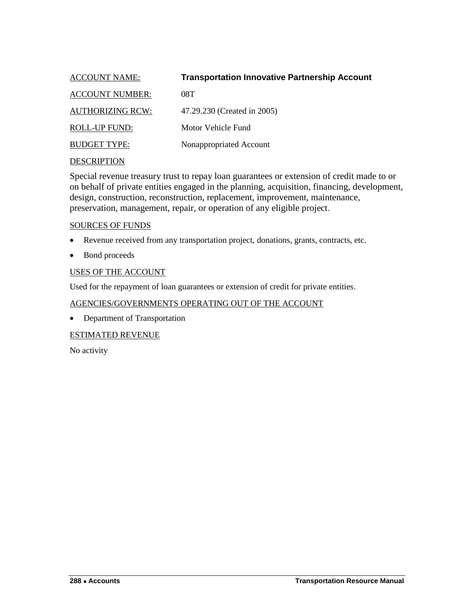<span id="page-51-0"></span>

| <b>ACCOUNT NAME:</b>    | <b>Transportation Innovative Partnership Account</b> |
|-------------------------|------------------------------------------------------|
| <b>ACCOUNT NUMBER:</b>  | 08T                                                  |
| <b>AUTHORIZING RCW:</b> | 47.29.230 (Created in 2005)                          |
| <b>ROLL-UP FUND:</b>    | Motor Vehicle Fund                                   |
| <b>BUDGET TYPE:</b>     | Nonappropriated Account                              |
|                         |                                                      |

Special revenue treasury trust to repay loan guarantees or extension of credit made to or on behalf of private entities engaged in the planning, acquisition, financing, development, design, construction, reconstruction, replacement, improvement, maintenance, preservation, management, repair, or operation of any eligible project.

## SOURCES OF FUNDS

- Revenue received from any transportation project, donations, grants, contracts, etc.
- Bond proceeds

## USES OF THE ACCOUNT

Used for the repayment of loan guarantees or extension of credit for private entities.

## AGENCIES/GOVERNMENTS OPERATING OUT OF THE ACCOUNT

• Department of Transportation

## ESTIMATED REVENUE

No activity